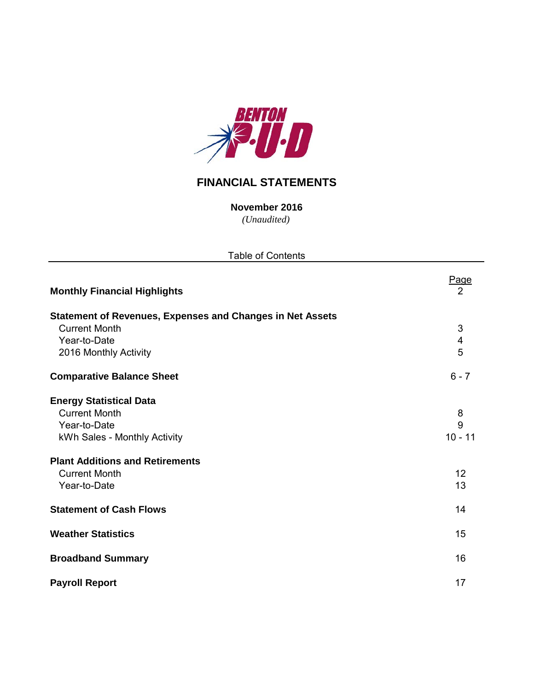

# **FINANCIAL STATEMENTS**

*(Unaudited)* **November 2016**

| <b>Table of Contents</b>                                                                                                                                                 |                                   |
|--------------------------------------------------------------------------------------------------------------------------------------------------------------------------|-----------------------------------|
| <b>Monthly Financial Highlights</b>                                                                                                                                      | Page<br>$\overline{2}$            |
| <b>Statement of Revenues, Expenses and Changes in Net Assets</b><br><b>Current Month</b><br>Year-to-Date<br>2016 Monthly Activity                                        | 3<br>$\overline{\mathbf{4}}$<br>5 |
| <b>Comparative Balance Sheet</b>                                                                                                                                         | $6 - 7$                           |
| <b>Energy Statistical Data</b><br><b>Current Month</b><br>Year-to-Date<br>kWh Sales - Monthly Activity<br><b>Plant Additions and Retirements</b><br><b>Current Month</b> | 8<br>9<br>$10 - 11$<br>12         |
| Year-to-Date<br><b>Statement of Cash Flows</b>                                                                                                                           | 13<br>14                          |
| <b>Weather Statistics</b>                                                                                                                                                | 15                                |
| <b>Broadband Summary</b>                                                                                                                                                 | 16                                |
| <b>Payroll Report</b>                                                                                                                                                    | 17                                |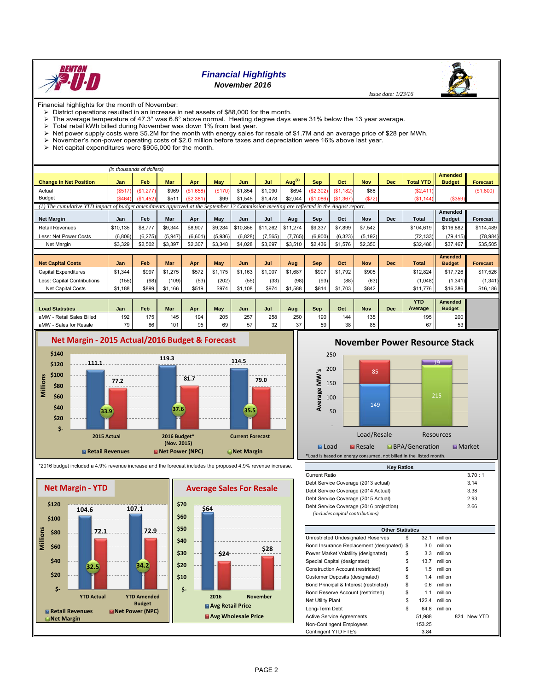

# *Financial Highlights*

## *November 2016*

Financial highlights for the month of November:<br> $\triangleright$  District operations resulted in an increase

- District operations resulted in an increase in net assets of \$88,000 for the month.
- The average temperature of 47.3° was 6.8° above normal. Heating degree days were 31% below the 13 year average.<br>> Total retail kWh billed during November was down 1% from last year.
- 
- $\triangleright$  Total retail kWh billed during November was down 1% from last year.<br> $\triangleright$  Net nower supply costs were \$5.2M for the month with energy sales f Net power supply costs were \$5.2M for the month with energy sales for resale of \$1.7M and an average price of \$28 per MWh.
- November's non-power operating costs of \$2.0 million before taxes and depreciation were 16% above last year.
- $\triangleright$  Net capital expenditures were \$905,000 for the month.

|                                                                                                                                        | (in thousands of dollars) |                            |         |           |            |            |          |                    |            |           |            |            |                  |                |                 |
|----------------------------------------------------------------------------------------------------------------------------------------|---------------------------|----------------------------|---------|-----------|------------|------------|----------|--------------------|------------|-----------|------------|------------|------------------|----------------|-----------------|
|                                                                                                                                        |                           |                            |         |           |            |            |          |                    |            |           |            |            |                  | <b>Amended</b> |                 |
| <b>Change in Net Position</b>                                                                                                          | <b>Jan</b>                | Feb                        | Mar     | Apr       | <b>May</b> | <b>Jun</b> | Jul      | Aug <sup>(1)</sup> | <b>Sep</b> | Oct       | <b>Nov</b> | Dec        | <b>Total YTD</b> | <b>Budget</b>  | <b>Forecast</b> |
| Actual                                                                                                                                 | (S517)                    | (\$1,277)                  | \$969   | (\$1,658) | (\$170)    | \$1,854    | \$1,090  | \$694              | (\$2,302)  | (\$1,182) | \$88       |            | (\$2,411)        |                | (\$1,800)       |
| <b>Budget</b>                                                                                                                          | (S464)                    | (S <sub>1</sub> )<br>.452) | \$511   | (S2, 381) | \$99       | \$1,545    | \$1,478  | \$2,044            | (S1.086)   | (\$1,367) | (S72)      |            | (S1, 144)        | (\$359)        |                 |
| (1) The cumulative YTD impact of budget amendments approved at the September 13 Commission meeting are reflected in the August report. |                           |                            |         |           |            |            |          |                    |            |           |            |            |                  |                |                 |
|                                                                                                                                        |                           |                            |         |           |            |            |          |                    |            |           |            |            |                  | Amended        |                 |
| <b>Net Margin</b>                                                                                                                      | Jan                       | Feb                        | Mar     | Apr       | May        | Jun        | Jul      | Aug                | Sep        | Oct       | <b>Nov</b> | <b>Dec</b> | <b>Total</b>     | <b>Budget</b>  | <b>Forecast</b> |
| <b>Retail Revenues</b>                                                                                                                 | \$10,135                  | \$8,777                    | \$9,344 | \$8,907   | \$9,284    | \$10,856   | \$11,262 | \$11,274           | \$9,337    | \$7,899   | \$7,542    |            | \$104,619        | \$116,882      | \$114,489       |
| Less: Net Power Costs                                                                                                                  | (6,806)                   | (6, 275)                   | (5,947) | (6,601)   | (5,936)    | (6, 828)   | (7, 565) | (7,765)            | (6,900)    | (6, 323)  | (5, 192)   |            | (72, 133)        | (79, 415)      | (78, 984)       |
| Net Margin                                                                                                                             | \$3,329                   | \$2,502                    | \$3,397 | \$2,307   | \$3,348    | \$4,028    | \$3,697  | \$3,510            | \$2,436    | \$1,576   | \$2,350    |            | \$32,486         | \$37,467       | \$35,505        |
|                                                                                                                                        |                           |                            |         |           |            |            |          |                    |            |           |            |            |                  |                |                 |
|                                                                                                                                        |                           |                            |         |           |            |            |          |                    |            |           |            |            |                  | <b>Amended</b> |                 |
| <b>Net Capital Costs</b>                                                                                                               | Jan                       | Feb                        | Mar     | Apr       | May        | <b>Jun</b> | Jul      | Aug                | <b>Sep</b> | Oct       | <b>Nov</b> | <b>Dec</b> | <b>Total</b>     | <b>Budget</b>  | <b>Forecast</b> |
| <b>Capital Expenditures</b>                                                                                                            | \$1,344                   | \$997                      | \$1,275 | \$572     | \$1,175    | \$1,163    | \$1,007  | \$1,687            | \$907      | \$1,792   | \$905      |            | \$12,824         | \$17,726       | \$17,526        |
| Less: Capital Contributions                                                                                                            | (155)                     | (98)                       | (109)   | (53)      | (202)      | (55)       | (33)     | (98)               | (93)       | (88)      | (63)       |            | (1,048)          | (1, 341)       | (1, 341)        |
| Net Capital Costs                                                                                                                      | \$1,188                   | \$899                      | \$1,166 | \$519     | \$974      | \$1,108    | \$974    | \$1,588            | \$814      | \$1,703   | \$842      |            | \$11,776         | \$16,386       | \$16,186        |
|                                                                                                                                        |                           |                            |         |           |            |            |          |                    |            |           |            |            |                  |                |                 |
|                                                                                                                                        |                           |                            |         |           |            |            |          |                    |            |           |            |            | <b>YTD</b>       | Amended        |                 |
| <b>Load Statistics</b>                                                                                                                 | Jan                       | Feb                        | Mar     | Apr       | May        | Jun        | Jul      | Aug                | Sep        | Oct       | <b>Nov</b> | <b>Dec</b> | Average          | <b>Budget</b>  |                 |
| aMW - Retail Sales Billed                                                                                                              | 192                       | 175                        | 145     | 194       | 205        | 257        | 258      | 250                | 190        | 144       | 135        |            | 195              | 200            |                 |
| aMW - Sales for Resale                                                                                                                 | 79                        | 86                         | 101     | 95        | 69         | 57         | 32       | 37                 | 59         | 38        | 85         |            | 67               | 53             |                 |



# **November Power Resource Stack**

 *Issue date: 1/23/16*









| <b>Other Statistics</b>                    |    |        |         |     |         |
|--------------------------------------------|----|--------|---------|-----|---------|
| Unrestricted Undesignated Reserves         | S  | 32.1   | million |     |         |
| Bond Insurance Replacement (designated) \$ |    | 3.0    | million |     |         |
| Power Market Volatility (designated)       | \$ | 3.3    | million |     |         |
| Special Capital (designated)               | S  | 13.7   | million |     |         |
| Construction Account (restricted)          | \$ | 1.5    | million |     |         |
| Customer Deposits (designated)             | \$ | 1.4    | million |     |         |
| Bond Principal & Interest (restricted)     | \$ | 0.6    | million |     |         |
| Bond Reserve Account (restricted)          | \$ | 1.1    | million |     |         |
| Net Utility Plant                          | \$ | 122.4  | million |     |         |
| Long-Term Debt                             | \$ | 64.8   | million |     |         |
| <b>Active Service Agreements</b>           |    | 51.988 |         | 824 | New YTD |
| Non-Contingent Employees                   |    | 153.25 |         |     |         |
| Contingent YTD FTE's                       |    | 3.84   |         |     |         |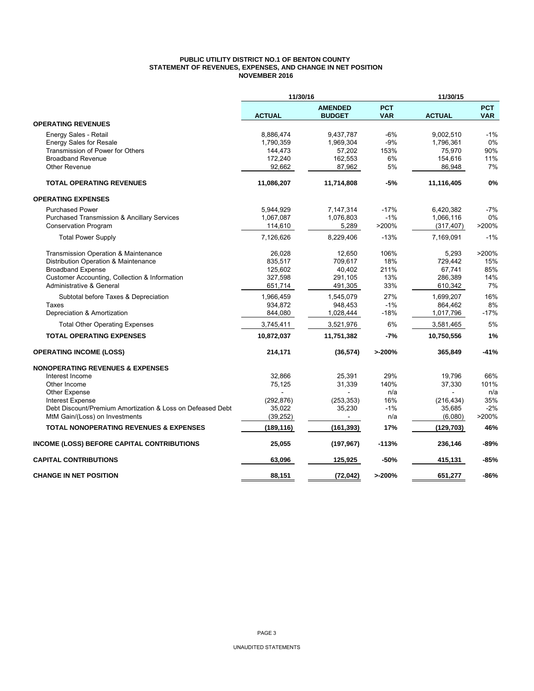#### **PUBLIC UTILITY DISTRICT NO.1 OF BENTON COUNTY STATEMENT OF REVENUES, EXPENSES, AND CHANGE IN NET POSITION NOVEMBER 2016**

|                                                            | 11/30/16      |                                 |                          | 11/30/15      |                          |
|------------------------------------------------------------|---------------|---------------------------------|--------------------------|---------------|--------------------------|
|                                                            | <b>ACTUAL</b> | <b>AMENDED</b><br><b>BUDGET</b> | <b>PCT</b><br><b>VAR</b> | <b>ACTUAL</b> | <b>PCT</b><br><b>VAR</b> |
| <b>OPERATING REVENUES</b>                                  |               |                                 |                          |               |                          |
| Energy Sales - Retail                                      | 8,886,474     | 9,437,787                       | $-6%$                    | 9,002,510     | $-1%$                    |
| <b>Energy Sales for Resale</b>                             | 1,790,359     | 1,969,304                       | $-9%$                    | 1,796,361     | 0%                       |
| Transmission of Power for Others                           | 144,473       | 57,202                          | 153%                     | 75,970        | 90%                      |
| <b>Broadband Revenue</b>                                   | 172,240       | 162,553                         | 6%                       | 154,616       | 11%                      |
| <b>Other Revenue</b>                                       | 92,662        | 87,962                          | 5%                       | 86,948        | 7%                       |
| <b>TOTAL OPERATING REVENUES</b>                            | 11,086,207    | 11,714,808                      | -5%                      | 11,116,405    | 0%                       |
| <b>OPERATING EXPENSES</b>                                  |               |                                 |                          |               |                          |
| <b>Purchased Power</b>                                     | 5,944,929     | 7,147,314                       | $-17%$                   | 6,420,382     | $-7%$                    |
| <b>Purchased Transmission &amp; Ancillary Services</b>     | 1,067,087     | 1,076,803                       | $-1%$                    | 1,066,116     | 0%                       |
| <b>Conservation Program</b>                                | 114,610       | 5,289                           | >200%                    | (317, 407)    | >200%                    |
| <b>Total Power Supply</b>                                  | 7,126,626     | 8,229,406                       | $-13%$                   | 7.169.091     | $-1%$                    |
| Transmission Operation & Maintenance                       | 26.028        | 12.650                          | 106%                     | 5.293         | >200%                    |
| Distribution Operation & Maintenance                       | 835,517       | 709,617                         | 18%                      | 729,442       | 15%                      |
| <b>Broadband Expense</b>                                   | 125,602       | 40,402                          | 211%                     | 67,741        | 85%                      |
| Customer Accounting, Collection & Information              | 327,598       | 291,105                         | 13%                      | 286,389       | 14%                      |
| Administrative & General                                   | 651,714       | 491,305                         | 33%                      | 610,342       | 7%                       |
| Subtotal before Taxes & Depreciation                       | 1,966,459     | 1,545,079                       | 27%                      | 1,699,207     | 16%                      |
| Taxes                                                      | 934,872       | 948,453                         | $-1%$                    | 864,462       | 8%                       |
| Depreciation & Amortization                                | 844,080       | 1,028,444                       | $-18%$                   | 1,017,796     | $-17%$                   |
| <b>Total Other Operating Expenses</b>                      | 3,745,411     | 3,521,976                       | 6%                       | 3,581,465     | 5%                       |
| <b>TOTAL OPERATING EXPENSES</b>                            | 10,872,037    | 11,751,382                      | -7%                      | 10,750,556    | 1%                       |
| <b>OPERATING INCOME (LOSS)</b>                             | 214,171       | (36, 574)                       | >200%                    | 365,849       | $-41%$                   |
| <b>NONOPERATING REVENUES &amp; EXPENSES</b>                |               |                                 |                          |               |                          |
| Interest Income                                            | 32,866        | 25,391                          | 29%                      | 19,796        | 66%                      |
| Other Income                                               | 75,125        | 31,339                          | 140%                     | 37,330        | 101%                     |
| Other Expense                                              |               |                                 | n/a                      |               | n/a                      |
| <b>Interest Expense</b>                                    | (292, 876)    | (253, 353)                      | 16%                      | (216, 434)    | 35%                      |
| Debt Discount/Premium Amortization & Loss on Defeased Debt | 35,022        | 35,230                          | $-1%$                    | 35,685        | $-2%$                    |
| MtM Gain/(Loss) on Investments                             | (39, 252)     | $\sim$                          | n/a                      | (6,080)       | >200%                    |
| <b>TOTAL NONOPERATING REVENUES &amp; EXPENSES</b>          | (189, 116)    | (161, 393)                      | 17%                      | (129, 703)    | 46%                      |
| <b>INCOME (LOSS) BEFORE CAPITAL CONTRIBUTIONS</b>          | 25,055        | (197, 967)                      | $-113%$                  | 236,146       | -89%                     |
| <b>CAPITAL CONTRIBUTIONS</b>                               | 63,096        | 125,925                         | $-50%$                   | 415,131       | $-85%$                   |
| <b>CHANGE IN NET POSITION</b>                              | 88,151        | (72, 042)                       | >200%                    | 651,277       | $-86%$                   |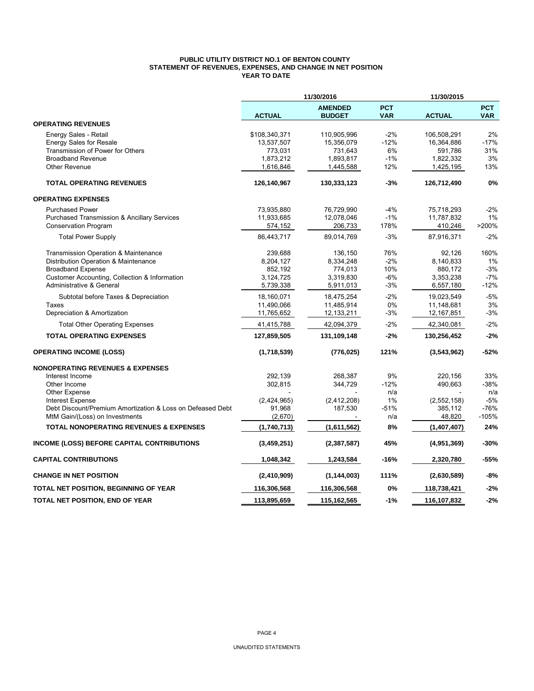#### **PUBLIC UTILITY DISTRICT NO.1 OF BENTON COUNTY STATEMENT OF REVENUES, EXPENSES, AND CHANGE IN NET POSITION YEAR TO DATE**

|                                                                                              |                        | 11/30/2016             |              | 11/30/2015             |                 |
|----------------------------------------------------------------------------------------------|------------------------|------------------------|--------------|------------------------|-----------------|
|                                                                                              |                        | <b>AMENDED</b>         | <b>PCT</b>   |                        | <b>PCT</b>      |
|                                                                                              | <b>ACTUAL</b>          | <b>BUDGET</b>          | <b>VAR</b>   | <b>ACTUAL</b>          | <b>VAR</b>      |
| <b>OPERATING REVENUES</b>                                                                    |                        |                        |              |                        |                 |
| Energy Sales - Retail                                                                        | \$108,340,371          | 110,905,996            | $-2%$        | 106,508,291            | 2%              |
| <b>Energy Sales for Resale</b>                                                               | 13,537,507             | 15,356,079             | $-12%$       | 16,364,886             | $-17%$          |
| Transmission of Power for Others                                                             | 773,031                | 731,643                | 6%           | 591,786                | 31%             |
| <b>Broadband Revenue</b><br><b>Other Revenue</b>                                             | 1,873,212<br>1,616,846 | 1,893,817<br>1,445,588 | $-1%$<br>12% | 1,822,332<br>1,425,195 | 3%<br>13%       |
|                                                                                              |                        |                        |              |                        |                 |
| <b>TOTAL OPERATING REVENUES</b>                                                              | 126,140,967            | 130,333,123            | -3%          | 126,712,490            | 0%              |
| <b>OPERATING EXPENSES</b>                                                                    |                        |                        |              |                        |                 |
| <b>Purchased Power</b>                                                                       | 73,935,880             | 76,729,990             | $-4%$        | 75,718,293             | $-2%$           |
| <b>Purchased Transmission &amp; Ancillary Services</b>                                       | 11,933,685             | 12,078,046             | $-1%$        | 11,787,832             | 1%              |
| <b>Conservation Program</b>                                                                  | 574,152                | 206,733                | 178%         | 410,246                | >200%           |
| <b>Total Power Supply</b>                                                                    | 86,443,717             | 89,014,769             | $-3%$        | 87,916,371             | $-2%$           |
| Transmission Operation & Maintenance                                                         | 239,688                | 136,150                | 76%          | 92,126                 | 160%            |
| Distribution Operation & Maintenance                                                         | 8,204,127              | 8,334,248              | $-2%$        | 8,140,833              | 1%              |
| <b>Broadband Expense</b>                                                                     | 852,192                | 774,013                | 10%          | 880,172                | $-3%$           |
| Customer Accounting, Collection & Information                                                | 3,124,725              | 3,319,830              | $-6%$        | 3,353,238              | $-7%$           |
| Administrative & General                                                                     | 5,739,338              | 5,911,013              | $-3%$        | 6,557,180              | $-12%$          |
| Subtotal before Taxes & Depreciation                                                         | 18,160,071             | 18,475,254             | $-2%$        | 19,023,549             | $-5%$           |
| Taxes                                                                                        | 11,490,066             | 11,485,914             | 0%           | 11,148,681             | 3%              |
| Depreciation & Amortization                                                                  | 11,765,652             | 12,133,211             | $-3%$        | 12, 167, 851           | $-3%$           |
| <b>Total Other Operating Expenses</b>                                                        | 41,415,788             | 42,094,379             | $-2%$        | 42,340,081             | $-2%$           |
| <b>TOTAL OPERATING EXPENSES</b>                                                              | 127,859,505            | 131,109,148            | $-2%$        | 130,256,452            | $-2%$           |
| <b>OPERATING INCOME (LOSS)</b>                                                               | (1,718,539)            | (776, 025)             | 121%         | (3,543,962)            | $-52%$          |
| <b>NONOPERATING REVENUES &amp; EXPENSES</b>                                                  |                        |                        |              |                        |                 |
| Interest Income                                                                              | 292,139                | 268,387                | 9%           | 220,156                | 33%             |
| Other Income                                                                                 | 302,815                | 344,729                | $-12%$       | 490,663                | $-38%$          |
| Other Expense                                                                                |                        |                        | n/a          |                        | n/a             |
| <b>Interest Expense</b>                                                                      | (2,424,965)            | (2,412,208)<br>187,530 | 1%<br>$-51%$ | (2, 552, 158)          | $-5%$<br>$-76%$ |
| Debt Discount/Premium Amortization & Loss on Defeased Debt<br>MtM Gain/(Loss) on Investments | 91,968<br>(2,670)      |                        | n/a          | 385,112<br>48,820      | $-105%$         |
|                                                                                              |                        |                        | 8%           |                        | 24%             |
| <b>TOTAL NONOPERATING REVENUES &amp; EXPENSES</b>                                            | (1,740,713)            | (1,611,562)            |              | (1,407,407)            |                 |
| <b>INCOME (LOSS) BEFORE CAPITAL CONTRIBUTIONS</b>                                            | (3,459,251)            | (2,387,587)            | 45%          | (4,951,369)            | $-30%$          |
| <b>CAPITAL CONTRIBUTIONS</b>                                                                 | 1,048,342              | 1,243,584              | $-16%$       | 2,320,780              | $-55%$          |
| <b>CHANGE IN NET POSITION</b>                                                                | (2,410,909)            | (1, 144, 003)          | 111%         | (2,630,589)            | $-8%$           |
| TOTAL NET POSITION, BEGINNING OF YEAR                                                        | 116,306,568            | 116,306,568            | 0%           | 118,738,421            | $-2%$           |
| TOTAL NET POSITION, END OF YEAR                                                              | 113,895,659            | 115,162,565            | $-1%$        | 116,107,832            | $-2%$           |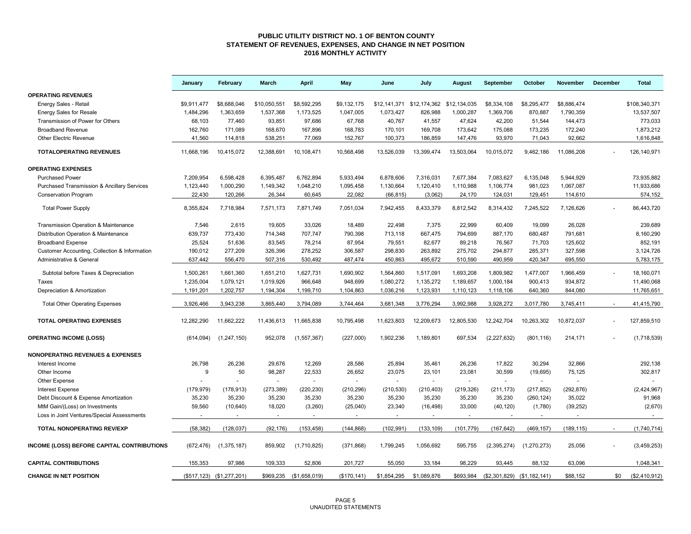#### **PUBLIC UTILITY DISTRICT NO. 1 OF BENTON COUNTY STATEMENT OF REVENUES, EXPENSES, AND CHANGE IN NET POSITION 2016 MONTHLY ACTIVITY**

|                                                        | January     | February                  | March          | <b>April</b>            | May          | June        | July                                   | August     | September     | October                     | November    | December | <b>Total</b>  |
|--------------------------------------------------------|-------------|---------------------------|----------------|-------------------------|--------------|-------------|----------------------------------------|------------|---------------|-----------------------------|-------------|----------|---------------|
| <b>OPERATING REVENUES</b>                              |             |                           |                |                         |              |             |                                        |            |               |                             |             |          |               |
| Energy Sales - Retail                                  | \$9,911,477 | \$8,688,046               | \$10,050,551   | \$8,592,295             | \$9,132,175  |             | \$12,141,371 \$12,174,362 \$12,134,035 |            | \$8,334,108   | \$8,295,477                 | \$8,886,474 |          | \$108,340,371 |
| <b>Energy Sales for Resale</b>                         | 1,484,296   | 1,363,659                 | 1,537,368      | 1,173,525               | 1,047,005    | 1,073,427   | 826,988                                | 1,000,287  | 1,369,706     | 870,887                     | 1,790,359   |          | 13,537,507    |
| Transmission of Power for Others                       | 68,103      | 77,460                    | 93,851         | 97,686                  | 67,768       | 40,767      | 41,557                                 | 47,624     | 42,200        | 51,544                      | 144,473     |          | 773,033       |
| <b>Broadband Revenue</b>                               | 162,760     | 171,089                   | 168,670        | 167,896                 | 168,783      | 170,101     | 169,708                                | 173,642    | 175,088       | 173,235                     | 172,240     |          | 1,873,212     |
| Other Electric Revenue                                 | 41,560      | 114,818                   | 538,251        | 77,069                  | 152,767      | 100,373     | 186,859                                | 147,476    | 93,970        | 71,043                      | 92,662      |          | 1,616,848     |
| <b>TOTALOPERATING REVENUES</b>                         | 11.668.196  | 10.415.072                | 12,388,691     | 10,108,471              | 10,568,498   | 13,526,039  | 13,399,474                             | 13,503,064 | 10.015.072    | 9.462.186                   | 11.086.208  |          | 126.140.971   |
| <b>OPERATING EXPENSES</b>                              |             |                           |                |                         |              |             |                                        |            |               |                             |             |          |               |
| <b>Purchased Power</b>                                 | 7,209,954   | 6,598,428                 | 6,395,487      | 6,762,894               | 5,933,494    | 6,878,606   | 7,316,031                              | 7,677,384  | 7,083,627     | 6,135,048                   | 5,944,929   |          | 73,935,882    |
| <b>Purchased Transmission &amp; Ancillary Services</b> | 1,123,440   | 1,000,290                 | 1,149,342      | 1,048,210               | 1,095,458    | 1,130,664   | 1,120,410                              | 1,110,988  | 1,106,774     | 981,023                     | 1,067,087   |          | 11,933,686    |
| <b>Conservation Program</b>                            | 22,430      | 120,266                   | 26,344         | 60,645                  | 22,082       | (66, 815)   | (3,062)                                | 24,170     | 124,031       | 129,451                     | 114,610     |          | 574,152       |
| <b>Total Power Supply</b>                              | 8,355,824   | 7,718,984                 | 7,571,173      | 7,871,749               | 7,051,034    | 7,942,455   | 8,433,379                              | 8,812,542  | 8,314,432     | 7,245,522                   | 7,126,626   |          | 86,443,720    |
| Transmission Operation & Maintenance                   | 7,546       | 2,615                     | 19,605         | 33,026                  | 18,489       | 22,498      | 7,375                                  | 22,999     | 60,409        | 19,099                      | 26,028      |          | 239,689       |
| Distribution Operation & Maintenance                   | 639,737     | 773,430                   | 714,348        | 707,747                 | 790,398      | 713,118     | 667,475                                | 794,699    | 887,170       | 680,487                     | 791,681     |          | 8,160,290     |
| <b>Broadband Expense</b>                               | 25,524      | 51,636                    | 83,545         | 78,214                  | 87,954       | 79,551      | 82,677                                 | 89,218     | 76,567        | 71,703                      | 125,602     |          | 852,191       |
| Customer Accounting, Collection & Information          | 190,012     | 277,209                   | 326,396        | 278,252                 | 306,587      | 298,830     | 263,892                                | 275,702    | 294,877       | 285,371                     | 327,598     |          | 3,124,726     |
| Administrative & General                               | 637,442     | 556,470                   | 507,316        | 530,492                 | 487,474      | 450,863     | 495,672                                | 510,590    | 490,959       | 420,347                     | 695,550     |          | 5,783,175     |
| Subtotal before Taxes & Depreciation                   | 1,500,261   | 1,661,360                 | 1,651,210      | 1,627,731               | 1,690,902    | 1,564,860   | 1,517,091                              | 1,693,208  | 1,809,982     | 1,477,007                   | 1,966,459   |          | 18,160,071    |
| Taxes                                                  | 1,235,004   | 1,079,121                 | 1,019,926      | 966,648                 | 948,699      | 1,080,272   | 1,135,272                              | 1,189,657  | 1,000,184     | 900,413                     | 934,872     |          | 11,490,068    |
| Depreciation & Amortization                            | 1,191,201   | 1,202,757                 | 1,194,304      | 1,199,710               | 1,104,863    | 1,036,216   | 1,123,931                              | 1,110,123  | 1,118,106     | 640,360                     | 844,080     |          | 11,765,651    |
| <b>Total Other Operating Expenses</b>                  | 3,926,466   | 3,943,238                 | 3,865,440      | 3,794,089               | 3,744,464    | 3,681,348   | 3,776,294                              | 3,992,988  | 3,928,272     | 3,017,780                   | 3,745,411   |          | 41,415,790    |
| <b>TOTAL OPERATING EXPENSES</b>                        | 12,282,290  | 11,662,222                | 11,436,613     | 11,665,838              | 10,795,498   | 11,623,803  | 12,209,673                             | 12,805,530 | 12,242,704    | 10,263,302                  | 10,872,037  |          | 127,859,510   |
| <b>OPERATING INCOME (LOSS)</b>                         | (614, 094)  | (1, 247, 150)             | 952,078        | (1, 557, 367)           | (227,000)    | 1,902,236   | 1,189,801                              | 697,534    | (2, 227, 632) | (801, 116)                  | 214,171     |          | (1,718,539)   |
| <b>NONOPERATING REVENUES &amp; EXPENSES</b>            |             |                           |                |                         |              |             |                                        |            |               |                             |             |          |               |
| Interest Income                                        | 26,798      | 26,236                    | 29,676         | 12,269                  | 28,586       | 25,894      | 35,461                                 | 26,236     | 17,822        | 30,294                      | 32,866      |          | 292,138       |
| Other Income                                           | 9           | 50                        | 98,287         | 22,533                  | 26,652       | 23,075      | 23,101                                 | 23,081     | 30,599        | (19, 695)                   | 75,125      |          | 302,817       |
| Other Expense                                          |             |                           | $\overline{a}$ |                         |              |             |                                        |            |               | $\sim$                      |             |          |               |
| <b>Interest Expense</b>                                | (179, 979)  | (178, 913)                | (273, 389)     | (220, 230)              | (210, 296)   | (210, 530)  | (210, 403)                             | (219, 326) | (211, 173)    | (217, 852)                  | (292, 876)  |          | (2,424,967)   |
| Debt Discount & Expense Amortization                   | 35,230      | 35,230                    | 35,230         | 35,230                  | 35,230       | 35,230      | 35,230                                 | 35,230     | 35,230        | (260, 124)                  | 35,022      |          | 91,968        |
| MtM Gain/(Loss) on Investments                         | 59,560      | (10, 640)                 | 18,020         | (3,260)                 | (25,040)     | 23,340      | (16, 498)                              | 33,000     | (40, 120)     | (1,780)                     | (39, 252)   |          | (2,670)       |
| Loss in Joint Ventures/Special Assessments             | $\sim$      | $\sim$                    | $\sim$         | $\sim$                  | $\sim$       | $\sim$      | $\sim$                                 | $\sim$     | $\sim$        | $\sim$                      | $\sim$      |          | $\sim$        |
| <b>TOTAL NONOPERATING REV/EXP</b>                      | (58, 382)   | (128, 037)                | (92, 176)      | (153, 458)              | (144, 868)   | (102, 991)  | (133, 109)                             | (101, 779) | (167, 642)    | (469, 157)                  | (189, 115)  |          | (1,740,714)   |
| INCOME (LOSS) BEFORE CAPITAL CONTRIBUTIONS             | (672, 476)  | (1,375,187)               | 859.902        | (1,710,825)             | (371, 868)   | 1,799,245   | 1,056,692                              | 595,755    | (2,395,274)   | (1, 270, 273)               | 25,056      |          | (3,459,253)   |
| <b>CAPITAL CONTRIBUTIONS</b>                           | 155,353     | 97,986                    | 109,333        | 52,806                  | 201,727      | 55,050      | 33,184                                 | 98.229     | 93.445        | 88,132                      | 63,096      |          | 1,048,341     |
| <b>CHANGE IN NET POSITION</b>                          |             | (\$517,123) (\$1,277,201) |                | \$969,235 (\$1,658,019) | (\$170, 141) | \$1,854,295 | \$1,089,876                            | \$693,984  |               | (\$2,301,829) (\$1,182,141) | \$88,152    | \$0      | (\$2,410,912) |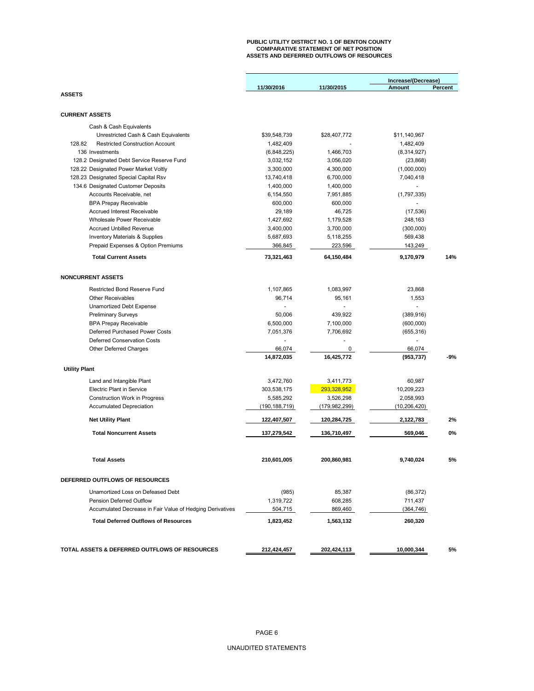# **PUBLIC UTILITY DISTRICT NO. 1 OF BENTON COUNTY COMPARATIVE STATEMENT OF NET POSITION ASSETS AND DEFERRED OUTFLOWS OF RESOURCES**

|                                                           |                 |                 | Increase/(Decrease) |         |
|-----------------------------------------------------------|-----------------|-----------------|---------------------|---------|
|                                                           | 11/30/2016      | 11/30/2015      | Amount              | Percent |
| <b>ASSETS</b>                                             |                 |                 |                     |         |
|                                                           |                 |                 |                     |         |
| <b>CURRENT ASSETS</b>                                     |                 |                 |                     |         |
| Cash & Cash Equivalents                                   |                 |                 |                     |         |
| Unrestricted Cash & Cash Equivalents                      | \$39.548.739    | \$28,407,772    | \$11,140,967        |         |
| 128.82<br><b>Restricted Construction Account</b>          | 1,482,409       |                 | 1,482,409           |         |
| 136 Investments                                           | (6,848,225)     | 1,466,703       | (8,314,927)         |         |
| 128.2 Designated Debt Service Reserve Fund                | 3,032,152       | 3,056,020       | (23, 868)           |         |
| 128.22 Designated Power Market Voltly                     | 3,300,000       | 4,300,000       | (1,000,000)         |         |
| 128.23 Designated Special Capital Rsv                     | 13,740,418      | 6,700,000       | 7,040,418           |         |
| 134.6 Designated Customer Deposits                        | 1,400,000       | 1,400,000       |                     |         |
| Accounts Receivable, net                                  | 6,154,550       | 7,951,885       | (1,797,335)         |         |
| <b>BPA Prepay Receivable</b>                              | 600,000         | 600,000         | $\overline{a}$      |         |
| <b>Accrued Interest Receivable</b>                        | 29,189          | 46,725          | (17, 536)           |         |
| <b>Wholesale Power Receivable</b>                         | 1,427,692       | 1,179,528       | 248,163             |         |
| <b>Accrued Unbilled Revenue</b>                           | 3,400,000       | 3,700,000       | (300,000)           |         |
| <b>Inventory Materials &amp; Supplies</b>                 | 5,687,693       | 5,118,255       | 569,438             |         |
| Prepaid Expenses & Option Premiums                        | 366,845         | 223,596         | 143,249             |         |
| <b>Total Current Assets</b>                               | 73,321,463      | 64,150,484      | 9,170,979           | 14%     |
|                                                           |                 |                 |                     |         |
| <b>NONCURRENT ASSETS</b>                                  |                 |                 |                     |         |
| <b>Restricted Bond Reserve Fund</b>                       | 1,107,865       | 1,083,997       | 23.868              |         |
| <b>Other Receivables</b>                                  | 96,714          | 95,161          | 1,553               |         |
| <b>Unamortized Debt Expense</b>                           |                 |                 | ٠                   |         |
| <b>Preliminary Surveys</b>                                | 50,006          | 439,922         | (389, 916)          |         |
| <b>BPA Prepay Receivable</b>                              | 6,500,000       | 7,100,000       | (600,000)           |         |
| Deferred Purchased Power Costs                            | 7,051,376       | 7,706,692       | (655, 316)          |         |
| <b>Deferred Conservation Costs</b>                        |                 |                 | ÷.                  |         |
| Other Deferred Charges                                    | 66,074          | 0               | 66,074              |         |
|                                                           | 14,872,035      | 16,425,772      | (953, 737)          | $-9%$   |
| <b>Utility Plant</b>                                      |                 |                 |                     |         |
|                                                           |                 |                 |                     |         |
| Land and Intangible Plant                                 | 3,472,760       | 3,411,773       | 60,987              |         |
| <b>Electric Plant in Service</b>                          | 303,538,175     | 293,328,952     | 10,209,223          |         |
| <b>Construction Work in Progress</b>                      | 5,585,292       | 3,526,298       | 2,058,993           |         |
| <b>Accumulated Depreciation</b>                           | (190, 188, 719) | (179, 982, 299) | (10, 206, 420)      |         |
| <b>Net Utility Plant</b>                                  | 122,407,507     | 120,284,725     | 2,122,783           | 2%      |
| <b>Total Noncurrent Assets</b>                            | 137,279,542     | 136,710,497     | 569.046             | 0%      |
| <b>Total Assets</b>                                       | 210,601,005     | 200,860,981     | 9,740,024           | 5%      |
|                                                           |                 |                 |                     |         |
| DEFERRED OUTFLOWS OF RESOURCES                            |                 |                 |                     |         |
| Unamortized Loss on Defeased Debt                         | (985)           | 85,387          | (86, 372)           |         |
| Pension Deferred Outflow                                  | 1,319,722       | 608,285         | 711,437             |         |
| Accumulated Decrease in Fair Value of Hedging Derivatives | 504,715         | 869,460         | (364, 746)          |         |
| <b>Total Deferred Outflows of Resources</b>               | 1,823,452       | 1,563,132       | 260,320             |         |
|                                                           |                 |                 |                     |         |
|                                                           |                 |                 |                     |         |
| TOTAL ASSETS & DEFERRED OUTFLOWS OF RESOURCES             | 212,424,457     | 202,424,113     | 10,000,344          | 5%      |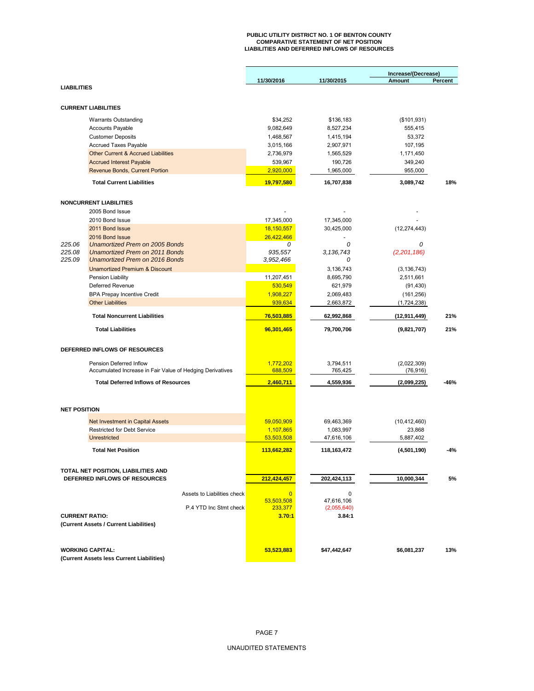# **PUBLIC UTILITY DISTRICT NO. 1 OF BENTON COUNTY COMPARATIVE STATEMENT OF NET POSITION LIABILITIES AND DEFERRED INFLOWS OF RESOURCES**

|                       |                                                                                   |                        |                           | Increase/(Decrease)  |         |
|-----------------------|-----------------------------------------------------------------------------------|------------------------|---------------------------|----------------------|---------|
| <b>LIABILITIES</b>    |                                                                                   | 11/30/2016             | 11/30/2015                | Amount               | Percent |
|                       |                                                                                   |                        |                           |                      |         |
|                       | <b>CURRENT LIABILITIES</b>                                                        |                        |                           |                      |         |
|                       |                                                                                   | \$34,252               | \$136,183                 |                      |         |
|                       | <b>Warrants Outstanding</b>                                                       |                        |                           | (\$101,931)          |         |
|                       | <b>Accounts Payable</b>                                                           | 9,082,649              | 8,527,234                 | 555,415              |         |
|                       | <b>Customer Deposits</b>                                                          | 1,468,567              | 1,415,194                 | 53,372               |         |
|                       | Accrued Taxes Payable                                                             | 3,015,166<br>2,736,979 | 2,907,971                 | 107,195              |         |
|                       | <b>Other Current &amp; Accrued Liabilities</b><br><b>Accrued Interest Payable</b> |                        | 1,565,529                 | 1,171,450<br>349,240 |         |
|                       |                                                                                   | 539,967                | 190,726                   |                      |         |
|                       | Revenue Bonds, Current Portion                                                    | 2,920,000              | 1,965,000                 | 955,000              |         |
|                       | <b>Total Current Liabilities</b>                                                  | 19,797,580             | 16,707,838                | 3,089,742            | 18%     |
|                       |                                                                                   |                        |                           |                      |         |
|                       | <b>NONCURRENT LIABILITIES</b>                                                     |                        |                           |                      |         |
|                       | 2005 Bond Issue                                                                   |                        |                           |                      |         |
|                       | 2010 Bond Issue                                                                   | 17,345,000             | 17,345,000                |                      |         |
|                       | 2011 Bond Issue                                                                   | 18,150,557             | 30,425,000                | (12, 274, 443)       |         |
|                       | 2016 Bond Issue                                                                   | 26,422,466             |                           |                      |         |
| 225.06                | <b>Unamortized Prem on 2005 Bonds</b><br>Unamortized Prem on 2011 Bonds           | 0<br>935,557           | 0<br>3,136,743            | 0                    |         |
| 225.08<br>225.09      | <b>Unamortized Prem on 2016 Bonds</b>                                             |                        | 0                         | (2,201,186)          |         |
|                       | <b>Unamortized Premium &amp; Discount</b>                                         | 3,952,466              |                           |                      |         |
|                       |                                                                                   |                        | 3,136,743                 | (3, 136, 743)        |         |
|                       | Pension Liability                                                                 | 11,207,451             | 8,695,790                 | 2,511,661            |         |
|                       | Deferred Revenue                                                                  | 530,549                | 621,979                   | (91, 430)            |         |
|                       | <b>BPA Prepay Incentive Credit</b>                                                | 1,908,227              | 2,069,483                 | (161, 256)           |         |
|                       | <b>Other Liabilities</b>                                                          | 939,634                | 2,663,872                 | (1,724,238)          |         |
|                       | <b>Total Noncurrent Liabilities</b>                                               | 76,503,885             | 62,992,868                | (12, 911, 449)       | 21%     |
|                       | <b>Total Liabilities</b>                                                          | 96,301,465             | 79,700,706                | (9,821,707)          | 21%     |
|                       |                                                                                   |                        |                           |                      |         |
|                       | DEFERRED INFLOWS OF RESOURCES                                                     |                        |                           |                      |         |
|                       | Pension Deferred Inflow                                                           | 1,772,202              | 3,794,511                 | (2,022,309)          |         |
|                       | Accumulated Increase in Fair Value of Hedging Derivatives                         | 688,509                | 765,425                   | (76, 916)            |         |
|                       | <b>Total Deferred Inflows of Resources</b>                                        | 2,460,711              | 4,559,936                 | (2,099,225)          | -46%    |
|                       |                                                                                   |                        |                           |                      |         |
|                       |                                                                                   |                        |                           |                      |         |
| <b>NET POSITION</b>   |                                                                                   |                        |                           |                      |         |
|                       | Net Investment in Capital Assets                                                  | 59,050,909             | 69,463,369                | (10, 412, 460)       |         |
|                       | Restricted for Debt Service                                                       | 1,107,865              | 1,083,997                 | 23,868               |         |
|                       | <b>Unrestricted</b>                                                               | 53,503,508             | 47,616,106                | 5,887,402            |         |
|                       | <b>Total Net Position</b>                                                         | 113,662,282            | 118,163,472               | (4,501,190)          | -4%     |
|                       |                                                                                   |                        |                           |                      |         |
|                       | TOTAL NET POSITION, LIABILITIES AND                                               |                        |                           |                      |         |
|                       | DEFERRED INFLOWS OF RESOURCES                                                     | 212,424,457            | 202,424,113               | 10,000,344           | 5%      |
|                       |                                                                                   |                        |                           |                      |         |
|                       | Assets to Liabilities check                                                       | $\overline{0}$         | $\mathbf 0$               |                      |         |
|                       | P.4 YTD Inc Stmt check                                                            | 53,503,508<br>233,377  | 47,616,106<br>(2,055,640) |                      |         |
| <b>CURRENT RATIO:</b> |                                                                                   | 3.70:1                 | 3.84:1                    |                      |         |
|                       | (Current Assets / Current Liabilities)                                            |                        |                           |                      |         |
|                       |                                                                                   |                        |                           |                      |         |
|                       |                                                                                   |                        |                           |                      |         |
|                       | <b>WORKING CAPITAL:</b>                                                           | 53,523,883             | \$47,442,647              | \$6,081,237          | 13%     |
|                       | (Current Assets less Current Liabilities)                                         |                        |                           |                      |         |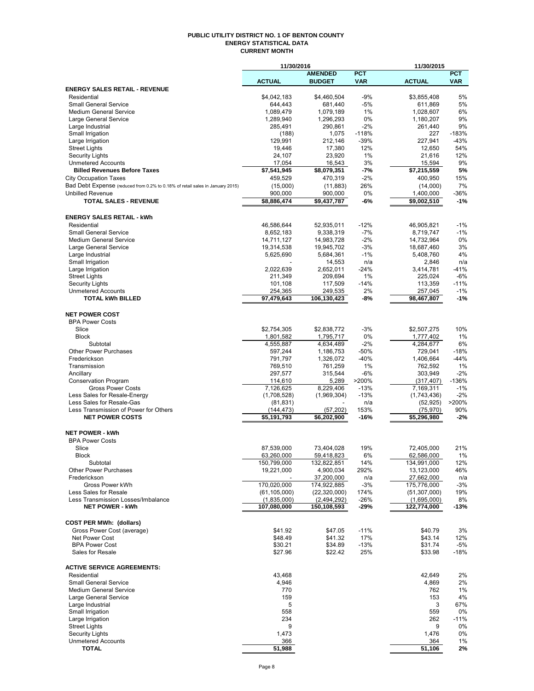#### **PUBLIC UTILITY DISTRICT NO. 1 OF BENTON COUNTY ENERGY STATISTICAL DATA CURRENT MONTH**

|                                                                               | 11/30/2016                 |                      |             | 11/30/2015              |             |
|-------------------------------------------------------------------------------|----------------------------|----------------------|-------------|-------------------------|-------------|
|                                                                               |                            | <b>AMENDED</b>       | <b>PCT</b>  |                         | PCT         |
|                                                                               | <b>ACTUAL</b>              | <b>BUDGET</b>        | <b>VAR</b>  | <b>ACTUAL</b>           | <b>VAR</b>  |
| <b>ENERGY SALES RETAIL - REVENUE</b>                                          |                            |                      |             |                         |             |
| Residential                                                                   | \$4,042,183                | \$4,460,504          | $-9%$       | \$3,855,408             | 5%          |
| <b>Small General Service</b>                                                  | 644,443                    | 681,440              | $-5%$       | 611,869                 | 5%          |
| <b>Medium General Service</b>                                                 | 1,089,479                  | 1,079,189            | 1%          | 1,028,607               | 6%          |
| Large General Service<br>Large Industrial                                     | 1,289,940<br>285,491       | 1,296,293<br>290,861 | 0%<br>$-2%$ | 1,180,207<br>261,440    | 9%<br>9%    |
| Small Irrigation                                                              | (188)                      | 1,075                | $-118%$     | 227                     | $-183%$     |
| Large Irrigation                                                              | 129,991                    | 212,146              | $-39%$      | 227,941                 | $-43%$      |
| <b>Street Lights</b>                                                          | 19,446                     | 17,380               | 12%         | 12,650                  | 54%         |
| Security Lights                                                               | 24,107                     | 23,920               | 1%          | 21,616                  | 12%         |
| <b>Unmetered Accounts</b>                                                     | 17,054                     | 16,543               | 3%          | 15,594                  | 9%          |
| <b>Billed Revenues Before Taxes</b>                                           | \$7,541,945                | \$8,079,351          | -7%         | \$7,215,559             | 5%          |
| <b>City Occupation Taxes</b>                                                  | 459,529                    | 470,319              | $-2%$       | 400,950                 | 15%         |
| Bad Debt Expense (reduced from 0.2% to 0.18% of retail sales in January 2015) | (15,000)                   | (11, 883)            | 26%         | (14,000)                | 7%          |
| <b>Unbilled Revenue</b>                                                       | 900,000                    | 900,000              | 0%          | 1,400,000               | $-36%$      |
| <b>TOTAL SALES - REVENUE</b>                                                  | \$8,886,474                | \$9,437,787          | -6%         | $\overline{59,002,510}$ | $-1%$       |
|                                                                               |                            |                      |             |                         |             |
| <b>ENERGY SALES RETAIL - kWh</b>                                              |                            |                      |             |                         |             |
| Residential                                                                   | 46,586,644                 | 52,935,011           | $-12%$      | 46,905,821              | $-1%$       |
| <b>Small General Service</b>                                                  | 8,652,183                  | 9,338,319            | $-7%$       | 8,719,747               | $-1%$       |
| <b>Medium General Service</b>                                                 | 14,711,127                 | 14,983,728           | $-2\%$      | 14,732,964              | 0%          |
| Large General Service                                                         | 19,314,538                 | 19,945,702           | -3%         | 18,687,460              | 3%          |
| Large Industrial                                                              | 5,625,690                  | 5,684,361            | $-1%$       | 5,408,760               | 4%          |
| Small Irrigation                                                              |                            | 14,553               | n/a         | 2,846                   | n/a         |
| Large Irrigation                                                              | 2,022,639                  | 2,652,011            | $-24%$      | 3,414,781               | $-41%$      |
| <b>Street Lights</b>                                                          | 211,349                    | 209,694              | 1%          | 225,024                 | $-6%$       |
| <b>Security Lights</b>                                                        | 101,108                    | 117,509              | $-14%$      | 113,359                 | $-11%$      |
| <b>Unmetered Accounts</b>                                                     | 254,365                    | 249,535              | 2%          | 257,045                 | $-1%$       |
| <b>TOTAL kWh BILLED</b>                                                       | 97,479,643                 | 106,130,423          | -8%         | 98,467,807              | $-1%$       |
|                                                                               |                            |                      |             |                         |             |
| <b>NET POWER COST</b>                                                         |                            |                      |             |                         |             |
| <b>BPA Power Costs</b>                                                        |                            |                      |             |                         |             |
| Slice                                                                         | \$2,754,305                | \$2,838,772          | $-3%$       | \$2,507,275             | 10%         |
| <b>Block</b>                                                                  | 1,801,582                  | 1,795,717            | 0%          | 1,777,402               | 1%          |
| Subtotal                                                                      | 4,555,887                  | 4,634,489            | $-2%$       | 4,284,677               | 6%          |
| <b>Other Power Purchases</b>                                                  | 597,244                    | 1,186,753            | $-50%$      | 729,041                 | $-18%$      |
| Frederickson                                                                  | 791,797                    | 1,326,072            | $-40%$      | 1,406,664               | $-44%$      |
| Transmission                                                                  | 769,510                    | 761,259              | 1%          | 762,592                 | 1%          |
| Ancillary                                                                     | 297,577                    | 315,544              | -6%         | 303,949                 | $-2%$       |
| <b>Conservation Program</b>                                                   | 114,610                    | 5,289                | >200%       | (317, 407)              | $-136%$     |
| <b>Gross Power Costs</b>                                                      | 7,126,625                  | 8,229,406            | $-13%$      | 7,169,311               | $-1%$       |
| Less Sales for Resale-Energy                                                  | (1,708,528)                | (1,969,304)          | $-13%$      | (1,743,436)             | $-2%$       |
| Less Sales for Resale-Gas                                                     | (81, 831)                  |                      | n/a         | (52, 925)               | >200%       |
| Less Transmission of Power for Others                                         | (144, 473)                 | (57, 202)            | 153%        | (75, 970)               | 90%         |
| <b>NET POWER COSTS</b>                                                        | \$5,191,793                | \$6,202,900          | $-16%$      | \$5,296,980             | $-2%$       |
|                                                                               |                            |                      |             |                         |             |
| <b>NET POWER - kWh</b>                                                        |                            |                      |             |                         |             |
| <b>BPA Power Costs</b>                                                        |                            |                      |             |                         |             |
| Slice                                                                         | 87.539.000                 | 73,404,028           | 19%         | 72,405,000              | 21%         |
| Block                                                                         | 63,260,000                 | 59,418,823           | 6%          | 62,586,000              | 1%          |
| Subtotal                                                                      | 150,799,000                | 132,822,851          | 14%         | 134,991,000             | 12%         |
| <b>Other Power Purchases</b>                                                  | 19,221,000                 | 4,900,034            | 292%        | 13,123,000              | 46%         |
| Frederickson                                                                  |                            | 37,200,000           | n/a         | 27,662,000              | n/a         |
| Gross Power kWh                                                               | 170,020,000                | 174,922,885          | $-3%$       | 175,776,000             | $-3%$       |
| Less Sales for Resale                                                         | (61, 105, 000)             | (22, 320, 000)       | 174%        | (51, 307, 000)          | 19%         |
| Less Transmission Losses/Imbalance<br><b>NET POWER - kWh</b>                  | (1,835,000)<br>107,080,000 | (2,494,292)          | $-26%$      | (1,695,000)             | 8%          |
|                                                                               |                            | 150,108,593          | $-29%$      | 122,774,000             | $-13%$      |
|                                                                               |                            |                      |             |                         |             |
| <b>COST PER MWh: (dollars)</b>                                                |                            |                      |             |                         |             |
| Gross Power Cost (average)                                                    | \$41.92                    | \$47.05              | $-11%$      | \$40.79                 | 3%          |
| Net Power Cost                                                                | \$48.49                    | \$41.32              | 17%         | \$43.14                 | 12%         |
| <b>BPA Power Cost</b>                                                         | \$30.21                    | \$34.89              | $-13%$      | \$31.74                 | $-5%$       |
| Sales for Resale                                                              | \$27.96                    | \$22.42              | 25%         | \$33.98                 | $-18%$      |
|                                                                               |                            |                      |             |                         |             |
| <b>ACTIVE SERVICE AGREEMENTS:</b>                                             |                            |                      |             |                         |             |
| Residential                                                                   | 43,468                     |                      |             | 42,649                  | 2%          |
| <b>Small General Service</b>                                                  | 4,946                      |                      |             | 4,869                   | 2%          |
| Medium General Service                                                        | 770                        |                      |             | 762                     | $1\%$       |
| Large General Service                                                         | 159                        |                      |             | 153                     | 4%          |
| Large Industrial                                                              | 5                          |                      |             | 3                       | 67%         |
| Small Irrigation                                                              | 558                        |                      |             | 559                     | 0%          |
| Large Irrigation                                                              | 234                        |                      |             | 262                     | $-11%$      |
| <b>Street Lights</b>                                                          | 9                          |                      |             | 9                       | 0%          |
| <b>Security Lights</b><br><b>Unmetered Accounts</b>                           | 1,473<br>366               |                      |             | 1,476<br>364            | 0%<br>$1\%$ |
| <b>TOTAL</b>                                                                  | 51,988                     |                      |             | 51,106                  | 2%          |
|                                                                               |                            |                      |             |                         |             |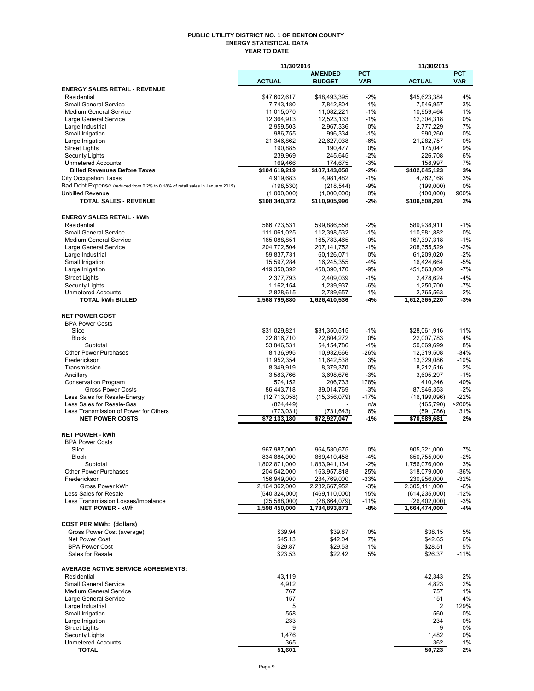#### **PUBLIC UTILITY DISTRICT NO. 1 OF BENTON COUNTY ENERGY STATISTICAL DATA YEAR TO DATE**

|                                                                               | 11/30/2016                 |                         |                 | 11/30/2015              |                 |
|-------------------------------------------------------------------------------|----------------------------|-------------------------|-----------------|-------------------------|-----------------|
|                                                                               |                            | <b>AMENDED</b>          | <b>PCT</b>      |                         | <b>PCT</b>      |
|                                                                               | <b>ACTUAL</b>              | <b>BUDGET</b>           | <b>VAR</b>      | <b>ACTUAL</b>           | <b>VAR</b>      |
| <b>ENERGY SALES RETAIL - REVENUE</b>                                          |                            |                         |                 |                         |                 |
| Residential<br><b>Small General Service</b>                                   | \$47,602,617               | \$48,493,395            | $-2%$<br>$-1%$  | \$45,623,384            | 4%<br>3%        |
| <b>Medium General Service</b>                                                 | 7,743,180<br>11,015,070    | 7,842,804<br>11,082,221 | $-1%$           | 7,546,957<br>10,959,464 | 1%              |
| Large General Service                                                         | 12,364,913                 | 12,523,133              | $-1%$           | 12,304,318              | 0%              |
| Large Industrial                                                              | 2,959,503                  | 2,967,336               | 0%              | 2,777,229               | 7%              |
| Small Irrigation                                                              | 986,755                    | 996,334                 | $-1%$           | 990,260                 | 0%              |
| Large Irrigation                                                              | 21,346,862                 | 22,627,038              | -6%             | 21,282,757              | 0%              |
| <b>Street Lights</b>                                                          | 190,885                    | 190,477                 | 0%              | 175,047                 | 9%              |
| <b>Security Lights</b>                                                        | 239,969                    | 245,645                 | $-2%$           | 226,708                 | 6%              |
| <b>Unmetered Accounts</b>                                                     | 169,466                    | 174,675                 | $-3%$           | 158,997                 | 7%              |
| <b>Billed Revenues Before Taxes</b>                                           | \$104,619,219              | \$107,143,058           | -2%             | \$102,045,123           | 3%              |
| <b>City Occupation Taxes</b>                                                  | 4,919,683                  | 4,981,482               | $-1%$           | 4,762,168               | 3%              |
| Bad Debt Expense (reduced from 0.2% to 0.18% of retail sales in January 2015) | (198, 530)                 | (218, 544)              | $-9%$           | (199,000)               | 0%              |
| <b>Unbilled Revenue</b>                                                       | (1,000,000)                | (1,000,000)             | 0%              | (100,000)               | 900%            |
| <b>TOTAL SALES - REVENUE</b>                                                  | \$108,340,372              | \$110,905,996           | -2%             | \$106,508,291           | 2%              |
|                                                                               |                            |                         |                 |                         |                 |
| <b>ENERGY SALES RETAIL - kWh</b>                                              |                            |                         |                 |                         |                 |
| Residential                                                                   | 586,723,531                | 599,886,558             | $-2%$           | 589,938,911             | $-1%$           |
| <b>Small General Service</b>                                                  | 111,061,025                | 112,398,532             | $-1%$           | 110,981,882             | 0%              |
| <b>Medium General Service</b>                                                 | 165,088,851                | 165,783,465             | 0%              | 167,397,318             | $-1%$           |
| Large General Service                                                         | 204,772,504                | 207, 141, 752           | $-1%$           | 208,355,529             | $-2%$           |
| Large Industrial                                                              | 59,837,731                 | 60,126,071              | 0%              | 61,209,020              | $-2%$           |
| Small Irrigation                                                              | 15,597,284                 | 16,245,355              | -4%             | 16,424,664              | $-5%$           |
| Large Irrigation                                                              | 419,350,392                | 458,390,170             | -9%             | 451,563,009             | $-7%$           |
| <b>Street Lights</b>                                                          | 2,377,793                  | 2,409,039               | $-1%$           | 2,478,624               | $-4%$           |
| <b>Security Lights</b>                                                        | 1,162,154                  | 1,239,937               | -6%             | 1,250,700               | $-7%$           |
| <b>Unmetered Accounts</b>                                                     | 2,828,615                  | 2,789,657               | 1%              | 2,765,563               | 2%              |
| <b>TOTAL kWh BILLED</b>                                                       | 1,568,799,880              | 1,626,410,536           | -4%             | 1,612,365,220           | -3%             |
|                                                                               |                            |                         |                 |                         |                 |
| <b>NET POWER COST</b>                                                         |                            |                         |                 |                         |                 |
| <b>BPA Power Costs</b>                                                        |                            |                         |                 |                         |                 |
| Slice                                                                         | \$31,029,821               | \$31,350,515            | $-1%$           | \$28,061,916            | 11%             |
| <b>Block</b>                                                                  | 22,816,710                 | 22,804,272              | 0%              | 22,007,783              | 4%              |
| Subtotal                                                                      | 53,846,531                 | 54, 154, 786            | $-1%$           | 50,069,699              | 8%              |
| <b>Other Power Purchases</b>                                                  | 8,136,995                  | 10,932,666              | $-26%$          | 12,319,508              | $-34%$          |
| Frederickson                                                                  | 11,952,354                 | 11,642,538              | 3%              | 13,329,086              | $-10%$          |
| Transmission                                                                  | 8,349,919                  | 8,379,370               | 0%              | 8,212,516               | 2%              |
| Ancillary                                                                     | 3,583,766                  | 3,698,676               | $-3%$           | 3,605,297               | $-1%$           |
| <b>Conservation Program</b>                                                   | 574,152<br>86,443,718      | 206,733<br>89,014,769   | 178%            | 410,246<br>87,946,353   | 40%             |
| <b>Gross Power Costs</b><br>Less Sales for Resale-Energy                      |                            | (15, 356, 079)          | $-3%$<br>$-17%$ | (16, 199, 096)          | $-2%$<br>$-22%$ |
| Less Sales for Resale-Gas                                                     | (12,713,058)<br>(824, 449) |                         | n/a             | (165, 790)              | >200%           |
| Less Transmission of Power for Others                                         | (773, 031)                 | (731,643)               | 6%              | (591, 786)              | 31%             |
| <b>NET POWER COSTS</b>                                                        | \$72,133,180               | \$72,927,047            | -1%             | \$70,989,681            | 2%              |
|                                                                               |                            |                         |                 |                         |                 |
| <b>NET POWER - kWh</b>                                                        |                            |                         |                 |                         |                 |
| <b>BPA Power Costs</b>                                                        |                            |                         |                 |                         |                 |
| Slice                                                                         | 967,987,000                | 964,530,675             | 0%              | 905,321,000             | 7%              |
| <b>Block</b>                                                                  | 834,884,000                | 869,410,458             | -4%             | 850,755,000             | -2%             |
| Subtotal                                                                      | 1,802,871,000              | 1,833,941,134           | $-2%$           | 1,756,076,000           | 3%              |
| <b>Other Power Purchases</b>                                                  | 204,542,000                | 163,957,818             | 25%             | 318,079,000             | -36%            |
| Frederickson                                                                  | 156,949,000                | 234,769,000             | $-33%$          | 230,956,000             | -32%            |
| Gross Power kWh                                                               | 2,164,362,000              | 2,232,667,952           | $-3%$           | 2,305,111,000           | $-6%$           |
| Less Sales for Resale                                                         | (540, 324, 000)            | (469, 110, 000)         | 15%             | (614, 235, 000)         | $-12%$          |
| Less Transmission Losses/Imbalance                                            | (25,588,000)               | (28, 664, 079)          | $-11%$          | (26, 402, 000)          | $-3%$           |
| <b>NET POWER - kWh</b>                                                        | 1,598,450,000              | 1,734,893,873           | -8%             | 1,664,474,000           | $-4%$           |
|                                                                               |                            |                         |                 |                         |                 |
| <b>COST PER MWh: (dollars)</b>                                                |                            |                         |                 |                         |                 |
| Gross Power Cost (average)                                                    | \$39.94                    | \$39.87                 | 0%              | \$38.15                 | 5%              |
| Net Power Cost                                                                | \$45.13                    | \$42.04                 | 7%              | \$42.65                 | 6%              |
| <b>BPA Power Cost</b>                                                         | \$29.87                    | \$29.53                 | 1%              | \$28.51                 | 5%              |
| Sales for Resale                                                              | \$23.53                    | \$22.42                 | 5%              | \$26.37                 | $-11%$          |
|                                                                               |                            |                         |                 |                         |                 |
| <b>AVERAGE ACTIVE SERVICE AGREEMENTS:</b>                                     |                            |                         |                 |                         |                 |
| Residential                                                                   | 43,119                     |                         |                 | 42,343                  | 2%              |
| <b>Small General Service</b>                                                  | 4,912                      |                         |                 | 4,823                   | 2%              |
| <b>Medium General Service</b>                                                 | 767                        |                         |                 | 757                     | 1%              |
| Large General Service                                                         | 157                        |                         |                 | 151                     | 4%              |
| Large Industrial                                                              | 5                          |                         |                 | 2                       | 129%            |
| Small Irrigation                                                              | 558                        |                         |                 | 560                     | 0%              |
| Large Irrigation                                                              | 233                        |                         |                 | 234                     | 0%              |
| <b>Street Lights</b>                                                          | 9                          |                         |                 | 9                       | 0%              |
| <b>Security Lights</b>                                                        | 1,476                      |                         |                 | 1,482                   | 0%              |
| <b>Unmetered Accounts</b>                                                     | 365                        |                         |                 | 362                     | 1%              |
| <b>TOTAL</b>                                                                  | 51,601                     |                         |                 | 50,723                  | 2%              |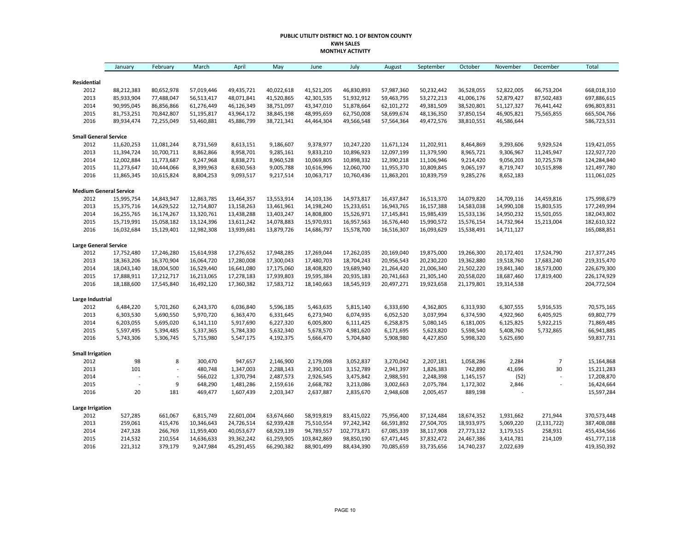#### **PUBLIC UTILITY DISTRICT NO. 1 OF BENTON COUNTY KWH SALES MONTHLY ACTIVITY**

|                                      | January                  | February                 | March                    | April                    | May                      | June                     | July                     | August                   | September                | October                  | November                 | December                 | <b>Total</b>               |
|--------------------------------------|--------------------------|--------------------------|--------------------------|--------------------------|--------------------------|--------------------------|--------------------------|--------------------------|--------------------------|--------------------------|--------------------------|--------------------------|----------------------------|
|                                      |                          |                          |                          |                          |                          |                          |                          |                          |                          |                          |                          |                          |                            |
| Residential                          |                          |                          |                          |                          |                          |                          |                          |                          |                          |                          |                          |                          |                            |
| 2012<br>2013                         | 88,212,383<br>85,933,904 | 80,652,978<br>77,488,047 | 57,019,446<br>56,513,417 | 49,435,721<br>48,071,841 | 40,022,618<br>41,520,865 | 41,521,205<br>42,301,535 | 46,830,893<br>51,932,912 | 57,987,360<br>59,463,795 | 50,232,442<br>53,272,213 | 36,528,055<br>41,006,176 | 52,822,005<br>52,879,427 | 66,753,204<br>87,502,483 | 668,018,310<br>697,886,615 |
| 2014                                 | 90,995,045               | 86,856,866               | 61,276,449               | 46,126,349               | 38,751,097               | 43,347,010               | 51,878,664               | 62,101,272               | 49,381,509               | 38,520,801               | 51,127,327               | 76,441,442               | 696,803,831                |
| 2015                                 | 81,753,251               | 70,842,807               | 51,195,817               | 43,964,172               | 38,845,198               | 48,995,659               | 62,750,008               | 58,699,674               | 48,136,350               | 37,850,154               | 46,905,821               | 75,565,855               | 665,504,766                |
| 2016                                 | 89,934,474               | 72,255,049               | 53,460,881               | 45,886,799               | 38,721,341               | 44,464,304               | 49,566,548               | 57,564,364               | 49,472,576               | 38,810,551               | 46,586,644               |                          | 586,723,531                |
|                                      |                          |                          |                          |                          |                          |                          |                          |                          |                          |                          |                          |                          |                            |
| <b>Small General Service</b><br>2012 | 11,620,253               | 11,081,244               | 8,731,569                | 8,613,151                | 9,186,607                | 9,378,977                | 10,247,220               | 11,671,124               | 11,202,911               | 8,464,869                | 9,293,606                | 9,929,524                | 119,421,055                |
| 2013                                 | 11,394,724               | 10,700,711               | 8,862,866                | 8,958,701                | 9,285,161                | 9,833,210                | 10,896,923               | 12,097,199               | 11,379,590               | 8,965,721                | 9,306,967                | 11,245,947               | 122,927,720                |
|                                      | 12,002,884               |                          |                          |                          |                          |                          |                          | 12,390,218               |                          |                          |                          |                          |                            |
| 2014                                 |                          | 11,773,687               | 9,247,968                | 8,838,271                | 8,960,528                | 10,069,805               | 10,898,332               |                          | 11,106,946<br>10,809,845 | 9,214,420                | 9,056,203                | 10,725,578               | 124,284,840<br>121,497,780 |
| 2015<br>2016                         | 11,273,647<br>11,865,345 | 10,444,066<br>10,615,824 | 8,399,963<br>8,804,253   | 8,630,563<br>9,093,517   | 9,005,788<br>9,217,514   | 10,616,996<br>10,063,717 | 12,060,700<br>10,760,436 | 11,955,370<br>11,863,201 | 10,839,759               | 9,065,197<br>9,285,276   | 8,719,747<br>8,652,183   | 10,515,898               | 111,061,025                |
|                                      |                          |                          |                          |                          |                          |                          |                          |                          |                          |                          |                          |                          |                            |
| <b>Medium General Service</b>        |                          |                          |                          |                          |                          |                          |                          |                          |                          |                          |                          |                          |                            |
| 2012                                 | 15,995,754               | 14,843,947               | 12,863,785               | 13,464,357               | 13,553,914               | 14,103,136               | 14,973,817               | 16,437,847               | 16,513,370               | 14,079,820               | 14,709,116               | 14,459,816               | 175,998,679                |
| 2013                                 | 15,375,716               | 14,629,522               | 12,714,807               | 13,158,263               | 13,461,961               | 14,198,240               | 15,233,651               | 16,943,765               | 16,157,388               | 14,583,038               | 14,990,108               | 15,803,535               | 177,249,994                |
| 2014                                 | 16,255,765               | 16,174,267               | 13,320,761               | 13,438,288               | 13,403,247               | 14,808,800               | 15,526,971               | 17,145,841               | 15,985,439               | 15,533,136               | 14,950,232               | 15,501,055               | 182,043,802                |
| 2015                                 | 15,719,991               | 15,058,182               | 13,124,396               | 13,611,242               | 14,078,883               | 15,970,931               | 16,957,563               | 16,576,440               | 15,990,572               | 15,576,154               | 14,732,964               | 15,213,004               | 182,610,322                |
| 2016                                 | 16,032,684               | 15,129,401               | 12,982,308               | 13,939,681               | 13,879,726               | 14,686,797               | 15,578,700               | 16,516,307               | 16,093,629               | 15,538,491               | 14,711,127               |                          | 165,088,851                |
| <b>Large General Service</b>         |                          |                          |                          |                          |                          |                          |                          |                          |                          |                          |                          |                          |                            |
| 2012                                 | 17,752,480               | 17,246,280               | 15,614,938               | 17,276,652               | 17,948,285               | 17,269,044               | 17,262,035               | 20,169,040               | 19,875,000               | 19,266,300               | 20,172,401               | 17,524,790               | 217,377,245                |
| 2013                                 | 18,363,206               | 16,370,904               | 16,064,720               | 17,280,008               | 17,300,043               | 17,480,703               | 18,704,243               | 20,956,543               | 20,230,220               | 19,362,880               | 19,518,760               | 17,683,240               | 219,315,470                |
| 2014                                 | 18,043,140               | 18,004,500               | 16,529,440               | 16,641,080               | 17,175,060               | 18,408,820               | 19,689,940               | 21,264,420               | 21,006,340               | 21,502,220               | 19,841,340               | 18,573,000               | 226,679,300                |
| 2015                                 | 17,888,911               | 17,212,717               | 16,213,065               | 17,278,183               | 17,939,803               | 19,595,384               | 20,935,183               | 20,741,663               | 21,305,140               | 20,558,020               | 18,687,460               | 17,819,400               | 226,174,929                |
| 2016                                 | 18,188,600               | 17,545,840               | 16,492,120               | 17,360,382               | 17,583,712               | 18,140,663               | 18,545,919               | 20,497,271               | 19,923,658               | 21,179,801               | 19,314,538               |                          | 204,772,504                |
| Large Industrial                     |                          |                          |                          |                          |                          |                          |                          |                          |                          |                          |                          |                          |                            |
| 2012                                 | 6,484,220                | 5,701,260                | 6,243,370                | 6,036,840                | 5,596,185                | 5,463,635                | 5,815,140                | 6,333,690                | 4,362,805                | 6,313,930                | 6,307,555                | 5,916,535                | 70,575,165                 |
| 2013                                 | 6,303,530                | 5,690,550                | 5,970,720                | 6,363,470                | 6,331,645                | 6,273,940                | 6,074,935                | 6,052,520                | 3,037,994                | 6,374,590                | 4,922,960                | 6,405,925                | 69,802,779                 |
| 2014                                 | 6,203,055                | 5,695,020                | 6,141,110                | 5,917,690                | 6,227,320                | 6,005,800                | 6,111,425                | 6,258,875                | 5,080,145                | 6,181,005                | 6,125,825                | 5,922,215                | 71,869,485                 |
| 2015                                 | 5,597,495                | 5,394,485                | 5,337,365                | 5,784,330                | 5,632,340                | 5,678,570                | 4,981,620                | 6,171,695                | 5,623,820                | 5,598,540                | 5,408,760                | 5,732,865                | 66,941,885                 |
| 2016                                 | 5,743,306                | 5,306,745                | 5,715,980                | 5,547,175                | 4,192,375                | 5,666,470                | 5,704,840                | 5,908,980                | 4,427,850                | 5,998,320                | 5,625,690                |                          | 59,837,731                 |
| <b>Small Irrigation</b>              |                          |                          |                          |                          |                          |                          |                          |                          |                          |                          |                          |                          |                            |
| 2012                                 | 98                       | 8                        | 300,470                  | 947,657                  | 2,146,900                | 2,179,098                | 3,052,837                | 3,270,042                | 2,207,181                | 1,058,286                | 2,284                    | $\overline{7}$           | 15,164,868                 |
| 2013                                 | 101                      | $\overline{a}$           | 480,748                  | 1,347,003                | 2,288,143                | 2,390,103                | 3,152,789                | 2,941,397                | 1,826,383                | 742,890                  | 41,696                   | 30                       | 15,211,283                 |
| 2014                                 |                          |                          | 566,022                  | 1,370,794                | 2,487,573                | 2,926,545                | 3,475,842                | 2,988,591                | 2,248,398                | 1,145,157                | (52)                     | L,                       | 17,208,870                 |
| 2015                                 |                          | 9                        | 648,290                  | 1,481,286                | 2,159,616                | 2,668,782                | 3,213,086                | 3,002,663                | 2,075,784                | 1,172,302                | 2,846                    | ÷                        | 16,424,664                 |
| 2016                                 | 20                       | 181                      | 469,477                  | 1,607,439                | 2,203,347                | 2,637,887                | 2,835,670                | 2,948,608                | 2,005,457                | 889,198                  |                          |                          | 15,597,284                 |
|                                      |                          |                          |                          |                          |                          |                          |                          |                          |                          |                          |                          |                          |                            |
| <b>Large Irrigation</b>              |                          |                          |                          |                          |                          |                          |                          |                          |                          |                          |                          |                          |                            |
| 2012                                 | 527,285                  | 661,067                  | 6,815,749                | 22,601,004               | 63,674,660               | 58,919,819               | 83,415,022               | 75,956,400               | 37,124,484               | 18,674,352               | 1,931,662                | 271,944                  | 370,573,448                |
| 2013                                 | 259,061                  | 415,476                  | 10,346,643               | 24,726,514               | 62,939,428               | 75,510,554               | 97,242,342               | 66,591,892               | 27,504,705               | 18,933,975               | 5,069,220                | (2, 131, 722)            | 387,408,088                |
| 2014                                 | 247,328                  | 266,769                  | 11,959,400               | 40,053,677               | 68,929,139               | 94,789,557               | 102,773,871              | 67,085,339               | 38,117,908               | 27,773,132               | 3,179,515                | 258,931                  | 455,434,566                |
| 2015                                 | 214,532                  | 210,554                  | 14,636,633               | 39,362,242               | 61,259,905               | 103,842,869              | 98,850,190               | 67,471,445               | 37,832,472               | 24,467,386               | 3,414,781                | 214,109                  | 451,777,118                |
| 2016                                 | 221,312                  | 379,179                  | 9,247,984                | 45,291,455               | 66,290,382               | 88,901,499               | 88,434,390               | 70,085,659               | 33,735,656               | 14,740,237               | 2,022,639                |                          | 419,350,392                |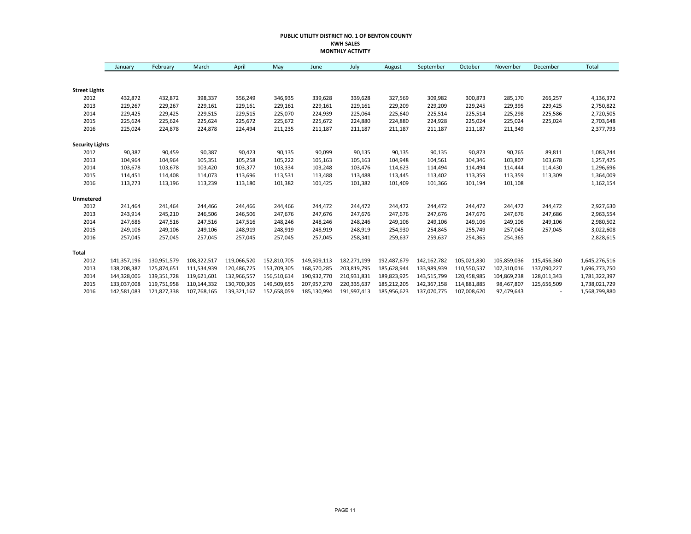#### **PUBLIC UTILITY DISTRICT NO. 1 OF BENTON COUNTY KWH SALES MONTHLY ACTIVITY**

|                        | January     | February    | March       | April       | May         | June        | July        | August      | September   | October     | November    | December    | Total         |
|------------------------|-------------|-------------|-------------|-------------|-------------|-------------|-------------|-------------|-------------|-------------|-------------|-------------|---------------|
|                        |             |             |             |             |             |             |             |             |             |             |             |             |               |
| <b>Street Lights</b>   |             |             |             |             |             |             |             |             |             |             |             |             |               |
| 2012                   | 432,872     | 432,872     | 398,337     | 356,249     | 346,935     | 339,628     | 339,628     | 327,569     | 309,982     | 300,873     | 285,170     | 266,257     | 4,136,372     |
| 2013                   | 229,267     | 229,267     | 229,161     | 229,161     | 229,161     | 229,161     | 229,161     | 229,209     | 229,209     | 229,245     | 229,395     | 229,425     | 2,750,822     |
| 2014                   | 229,425     | 229,425     | 229,515     | 229,515     | 225,070     | 224,939     | 225,064     | 225,640     | 225,514     | 225,514     | 225,298     | 225,586     | 2,720,505     |
| 2015                   | 225,624     | 225,624     | 225,624     | 225,672     | 225,672     | 225,672     | 224,880     | 224,880     | 224,928     | 225,024     | 225,024     | 225,024     | 2,703,648     |
| 2016                   | 225,024     | 224,878     | 224,878     | 224,494     | 211,235     | 211,187     | 211,187     | 211,187     | 211,187     | 211,187     | 211,349     |             | 2,377,793     |
| <b>Security Lights</b> |             |             |             |             |             |             |             |             |             |             |             |             |               |
| 2012                   | 90,387      | 90,459      | 90,387      | 90,423      | 90,135      | 90,099      | 90,135      | 90,135      | 90,135      | 90,873      | 90,765      | 89,811      | 1,083,744     |
| 2013                   | 104,964     | 104,964     | 105,351     | 105,258     | 105,222     | 105,163     | 105,163     | 104,948     | 104,561     | 104,346     | 103,807     | 103,678     | 1,257,425     |
| 2014                   | 103,678     | 103,678     | 103,420     | 103,377     | 103,334     | 103,248     | 103,476     | 114,623     | 114,494     | 114,494     | 114,444     | 114,430     | 1,296,696     |
| 2015                   | 114,451     | 114,408     | 114,073     | 113,696     | 113,531     | 113,488     | 113,488     | 113,445     | 113,402     | 113,359     | 113,359     | 113,309     | 1,364,009     |
| 2016                   | 113,273     | 113,196     | 113,239     | 113,180     | 101,382     | 101,425     | 101,382     | 101,409     | 101,366     | 101,194     | 101,108     |             | 1,162,154     |
| Unmetered              |             |             |             |             |             |             |             |             |             |             |             |             |               |
| 2012                   | 241,464     | 241,464     | 244,466     | 244,466     | 244,466     | 244,472     | 244,472     | 244,472     | 244,472     | 244,472     | 244,472     | 244,472     | 2,927,630     |
| 2013                   | 243,914     | 245,210     | 246,506     | 246,506     | 247,676     | 247,676     | 247,676     | 247,676     | 247,676     | 247,676     | 247,676     | 247,686     | 2,963,554     |
| 2014                   | 247,686     | 247,516     | 247,516     | 247,516     | 248,246     | 248,246     | 248,246     | 249,106     | 249,106     | 249,106     | 249,106     | 249,106     | 2,980,502     |
| 2015                   | 249,106     | 249,106     | 249,106     | 248,919     | 248,919     | 248,919     | 248,919     | 254,930     | 254,845     | 255,749     | 257,045     | 257,045     | 3,022,608     |
| 2016                   | 257,045     | 257,045     | 257,045     | 257,045     | 257,045     | 257,045     | 258,341     | 259,637     | 259,637     | 254,365     | 254,365     |             | 2,828,615     |
| <b>Total</b>           |             |             |             |             |             |             |             |             |             |             |             |             |               |
| 2012                   | 141,357,196 | 130,951,579 | 108,322,517 | 119,066,520 | 152,810,705 | 149,509,113 | 182,271,199 | 192,487,679 | 142,162,782 | 105,021,830 | 105,859,036 | 115,456,360 | 1,645,276,516 |
| 2013                   | 138,208,387 | 125,874,651 | 111,534,939 | 120,486,725 | 153,709,305 | 168,570,285 | 203,819,795 | 185,628,944 | 133,989,939 | 110,550,537 | 107,310,016 | 137,090,227 | 1,696,773,750 |
| 2014                   | 144,328,006 | 139,351,728 | 119,621,601 | 132,966,557 | 156,510,614 | 190,932,770 | 210,931,831 | 189,823,925 | 143,515,799 | 120,458,985 | 104,869,238 | 128,011,343 | 1,781,322,397 |
| 2015                   | 133,037,008 | 119,751,958 | 110,144,332 | 130,700,305 | 149,509,655 | 207,957,270 | 220,335,637 | 185,212,205 | 142,367,158 | 114,881,885 | 98,467,807  | 125,656,509 | 1,738,021,729 |
| 2016                   | 142,581,083 | 121,827,338 | 107,768,165 | 139,321,167 | 152,658,059 | 185,130,994 | 191,997,413 | 185,956,623 | 137,070,775 | 107,008,620 | 97,479,643  |             | 1,568,799,880 |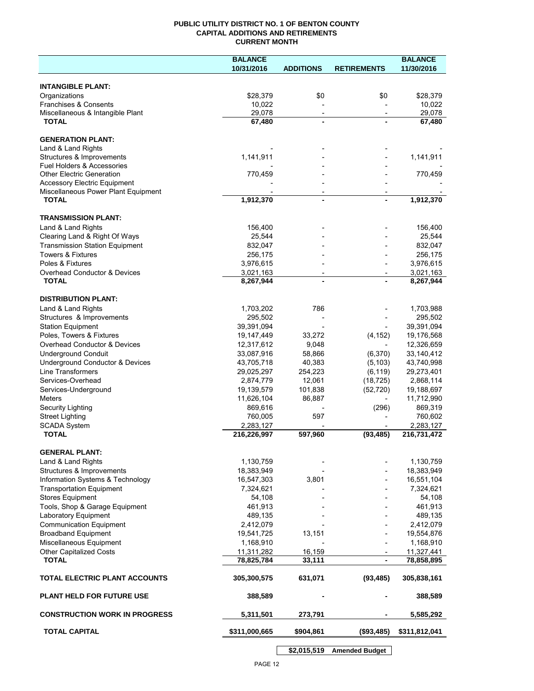### **PUBLIC UTILITY DISTRICT NO. 1 OF BENTON COUNTY CAPITAL ADDITIONS AND RETIREMENTS CURRENT MONTH**

|                                                        | <b>BALANCE</b>           |                          |                          | <b>BALANCE</b>           |
|--------------------------------------------------------|--------------------------|--------------------------|--------------------------|--------------------------|
|                                                        | 10/31/2016               | <b>ADDITIONS</b>         | <b>RETIREMENTS</b>       | 11/30/2016               |
| <b>INTANGIBLE PLANT:</b>                               |                          |                          |                          |                          |
| Organizations                                          | \$28,379                 | \$0                      | \$0                      | \$28,379                 |
| <b>Franchises &amp; Consents</b>                       | 10,022                   |                          |                          | 10,022                   |
| Miscellaneous & Intangible Plant                       | 29,078                   | $\overline{\phantom{a}}$ | $\overline{\phantom{a}}$ | 29,078                   |
| <b>TOTAL</b>                                           | 67,480                   |                          |                          | 67,480                   |
|                                                        |                          |                          |                          |                          |
| <b>GENERATION PLANT:</b><br>Land & Land Rights         |                          |                          |                          |                          |
| Structures & Improvements                              | 1,141,911                |                          |                          | 1,141,911                |
| Fuel Holders & Accessories                             |                          |                          |                          |                          |
| <b>Other Electric Generation</b>                       | 770,459                  |                          |                          | 770,459                  |
| <b>Accessory Electric Equipment</b>                    |                          |                          |                          |                          |
| Miscellaneous Power Plant Equipment                    |                          | $\overline{\phantom{a}}$ |                          |                          |
| <b>TOTAL</b>                                           | 1,912,370                | $\blacksquare$           |                          | 1,912,370                |
| <b>TRANSMISSION PLANT:</b>                             |                          |                          |                          |                          |
| Land & Land Rights                                     | 156,400                  |                          |                          | 156,400                  |
| Clearing Land & Right Of Ways                          | 25,544                   |                          |                          | 25,544                   |
| <b>Transmission Station Equipment</b>                  | 832,047                  |                          |                          | 832,047                  |
| Towers & Fixtures                                      | 256,175                  |                          |                          | 256,175                  |
| Poles & Fixtures                                       | 3,976,615                |                          |                          | 3,976,615                |
| <b>Overhead Conductor &amp; Devices</b>                | 3,021,163                |                          |                          | 3,021,163                |
| <b>TOTAL</b>                                           | 8,267,944                |                          |                          | 8,267,944                |
|                                                        |                          |                          |                          |                          |
| <b>DISTRIBUTION PLANT:</b>                             |                          |                          |                          |                          |
| Land & Land Rights                                     | 1,703,202                | 786                      |                          | 1,703,988                |
| Structures & Improvements                              | 295,502                  |                          |                          | 295,502                  |
| <b>Station Equipment</b>                               | 39,391,094               |                          |                          | 39,391,094               |
| Poles, Towers & Fixtures                               | 19,147,449               | 33,272                   | (4, 152)                 | 19,176,568               |
| Overhead Conductor & Devices                           | 12,317,612               | 9,048                    |                          | 12,326,659               |
| <b>Underground Conduit</b>                             | 33,087,916               | 58,866                   | (6,370)                  | 33,140,412               |
| Underground Conductor & Devices                        | 43,705,718               | 40,383                   | (5, 103)                 | 43,740,998               |
| <b>Line Transformers</b>                               | 29,025,297               | 254,223                  | (6, 119)                 | 29,273,401               |
| Services-Overhead                                      | 2,874,779                | 12,061                   | (18, 725)                | 2,868,114                |
| Services-Underground<br><b>Meters</b>                  | 19,139,579<br>11,626,104 | 101,838<br>86,887        | (52, 720)                | 19,188,697<br>11,712,990 |
| Security Lighting                                      | 869,616                  |                          | (296)                    | 869,319                  |
| <b>Street Lighting</b>                                 | 760,005                  | 597                      |                          | 760,602                  |
| <b>SCADA System</b>                                    | 2,283,127                |                          |                          | 2,283,127                |
| <b>TOTAL</b>                                           | 216,226,997              | 597,960                  | (93, 485)                | 216,731,472              |
|                                                        |                          |                          |                          |                          |
| <b>GENERAL PLANT:</b>                                  |                          |                          |                          |                          |
| Land & Land Rights                                     | 1,130,759                |                          |                          | 1,130,759                |
| Structures & Improvements                              | 18,383,949               |                          |                          | 18,383,949               |
| Information Systems & Technology                       | 16,547,303               | 3,801                    |                          | 16,551,104               |
| <b>Transportation Equipment</b>                        | 7,324,621                |                          |                          | 7,324,621                |
| <b>Stores Equipment</b>                                | 54,108                   |                          |                          | 54,108                   |
| Tools, Shop & Garage Equipment                         | 461,913                  |                          |                          | 461,913                  |
| Laboratory Equipment<br><b>Communication Equipment</b> | 489,135<br>2,412,079     |                          |                          | 489,135<br>2,412,079     |
| <b>Broadband Equipment</b>                             | 19,541,725               | 13,151                   |                          | 19,554,876               |
| Miscellaneous Equipment                                | 1,168,910                |                          |                          | 1,168,910                |
| <b>Other Capitalized Costs</b>                         | 11,311,282               | 16,159                   |                          | 11,327,441               |
| <b>TOTAL</b>                                           | 78,825,784               | 33,111                   | $\overline{\phantom{a}}$ | 78,858,895               |
|                                                        |                          |                          |                          |                          |
| TOTAL ELECTRIC PLANT ACCOUNTS                          | 305,300,575              | 631,071                  | (93, 485)                | 305,838,161              |
| <b>PLANT HELD FOR FUTURE USE</b>                       | 388,589                  |                          |                          | 388,589                  |
| <b>CONSTRUCTION WORK IN PROGRESS</b>                   | 5,311,501                | 273,791                  |                          | 5,585,292                |
| <b>TOTAL CAPITAL</b>                                   | \$311,000,665            | \$904,861                | (\$93,485)               | \$311,812,041            |
|                                                        |                          |                          |                          |                          |

**\$2,015,519 Amended Budget**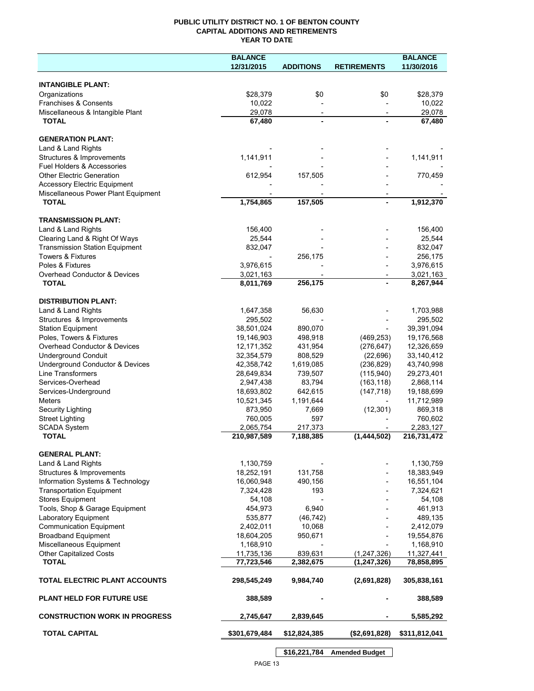### **PUBLIC UTILITY DISTRICT NO. 1 OF BENTON COUNTY CAPITAL ADDITIONS AND RETIREMENTS YEAR TO DATE**

|                                                                        | <b>BALANCE</b>          |                     |                       | <b>BALANCE</b>          |
|------------------------------------------------------------------------|-------------------------|---------------------|-----------------------|-------------------------|
|                                                                        | 12/31/2015              | <b>ADDITIONS</b>    | <b>RETIREMENTS</b>    | 11/30/2016              |
|                                                                        |                         |                     |                       |                         |
| <b>INTANGIBLE PLANT:</b>                                               |                         |                     |                       |                         |
| Organizations                                                          | \$28,379                | \$0                 | \$0                   | \$28,379                |
| Franchises & Consents                                                  | 10,022                  |                     |                       | 10,022                  |
| Miscellaneous & Intangible Plant                                       | 29,078                  |                     |                       | 29,078                  |
| <b>TOTAL</b>                                                           | 67,480                  |                     |                       | 67,480                  |
| <b>GENERATION PLANT:</b>                                               |                         |                     |                       |                         |
| Land & Land Rights                                                     |                         |                     |                       |                         |
| Structures & Improvements                                              | 1,141,911               |                     |                       | 1,141,911               |
| Fuel Holders & Accessories                                             |                         |                     |                       |                         |
| <b>Other Electric Generation</b>                                       | 612,954                 | 157,505             |                       | 770,459                 |
| <b>Accessory Electric Equipment</b>                                    |                         |                     |                       |                         |
| Miscellaneous Power Plant Equipment                                    |                         |                     |                       |                         |
| <b>TOTAL</b>                                                           | 1,754,865               | 157,505             |                       | 1,912,370               |
|                                                                        |                         |                     |                       |                         |
| <b>TRANSMISSION PLANT:</b>                                             |                         |                     |                       |                         |
| Land & Land Rights                                                     | 156,400                 |                     |                       | 156,400                 |
| Clearing Land & Right Of Ways<br><b>Transmission Station Equipment</b> | 25,544<br>832,047       |                     |                       | 25,544<br>832,047       |
| <b>Towers &amp; Fixtures</b>                                           |                         | 256,175             |                       | 256,175                 |
| Poles & Fixtures                                                       | 3,976,615               |                     |                       | 3,976,615               |
| Overhead Conductor & Devices                                           | 3,021,163               |                     |                       | 3,021,163               |
| <b>TOTAL</b>                                                           | 8,011,769               | 256,175             |                       | 8,267,944               |
|                                                                        |                         |                     |                       |                         |
| <b>DISTRIBUTION PLANT:</b>                                             |                         |                     |                       |                         |
| Land & Land Rights                                                     | 1,647,358               | 56,630              |                       | 1,703,988               |
| Structures & Improvements                                              | 295,502                 |                     |                       | 295,502                 |
| <b>Station Equipment</b>                                               | 38,501,024              | 890,070             |                       | 39,391,094              |
| Poles, Towers & Fixtures                                               | 19,146,903              | 498,918             | (469, 253)            | 19,176,568              |
| Overhead Conductor & Devices                                           | 12, 171, 352            | 431,954             | (276, 647)            | 12,326,659              |
| <b>Underground Conduit</b>                                             | 32,354,579              | 808,529             | (22, 696)             | 33,140,412              |
| Underground Conductor & Devices                                        | 42,358,742              | 1,619,085           | (236, 829)            | 43,740,998              |
| Line Transformers                                                      | 28,649,834              | 739,507             | (115, 940)            | 29,273,401              |
| Services-Overhead                                                      | 2,947,438               | 83,794              | (163, 118)            | 2,868,114               |
| Services-Underground                                                   | 18,693,802              | 642,615             | (147, 718)            | 19,188,699              |
| Meters<br>Security Lighting                                            | 10,521,345<br>873,950   | 1,191,644<br>7,669  | (12, 301)             | 11,712,989<br>869,318   |
| <b>Street Lighting</b>                                                 | 760,005                 | 597                 |                       | 760,602                 |
| <b>SCADA System</b>                                                    | 2,065,754               | 217,373             |                       | 2,283,127               |
| <b>TOTAL</b>                                                           | 210,987,589             | 7,188,385           | (1,444,502)           | 216,731,472             |
|                                                                        |                         |                     |                       |                         |
| <b>GENERAL PLANT:</b>                                                  |                         |                     |                       |                         |
| Land & Land Rights                                                     | 1,130,759               |                     |                       | 1,130,759               |
| Structures & Improvements                                              | 18,252,191              | 131,758             |                       | 18,383,949              |
| Information Systems & Technology                                       | 16,060,948              | 490,156             |                       | 16,551,104              |
| <b>Transportation Equipment</b>                                        | 7,324,428               | 193                 |                       | 7,324,621               |
| <b>Stores Equipment</b>                                                | 54,108                  |                     |                       | 54,108                  |
| Tools, Shop & Garage Equipment                                         | 454,973                 | 6,940               |                       | 461,913                 |
| Laboratory Equipment<br><b>Communication Equipment</b>                 | 535,877                 | (46, 742)<br>10,068 |                       | 489,135                 |
| <b>Broadband Equipment</b>                                             | 2,402,011<br>18,604,205 | 950,671             |                       | 2,412,079<br>19,554,876 |
| Miscellaneous Equipment                                                | 1,168,910               |                     |                       | 1,168,910               |
| Other Capitalized Costs                                                | 11,735,136              | 839,631             | (1,247,326)           | 11,327,441              |
| <b>TOTAL</b>                                                           | 77,723,546              | 2,382,675           | (1, 247, 326)         | 78,858,895              |
|                                                                        |                         |                     |                       |                         |
| TOTAL ELECTRIC PLANT ACCOUNTS                                          | 298,545,249             | 9,984,740           | (2,691,828)           | 305,838,161             |
| <b>PLANT HELD FOR FUTURE USE</b>                                       | 388,589                 |                     |                       | 388,589                 |
| <b>CONSTRUCTION WORK IN PROGRESS</b>                                   | 2,745,647               | 2,839,645           |                       | 5,585,292               |
| <b>TOTAL CAPITAL</b>                                                   | \$301,679,484           | \$12,824,385        | (\$2,691,828)         | \$311,812,041           |
|                                                                        |                         | \$16,221,784        | <b>Amended Budget</b> |                         |

PAGE 13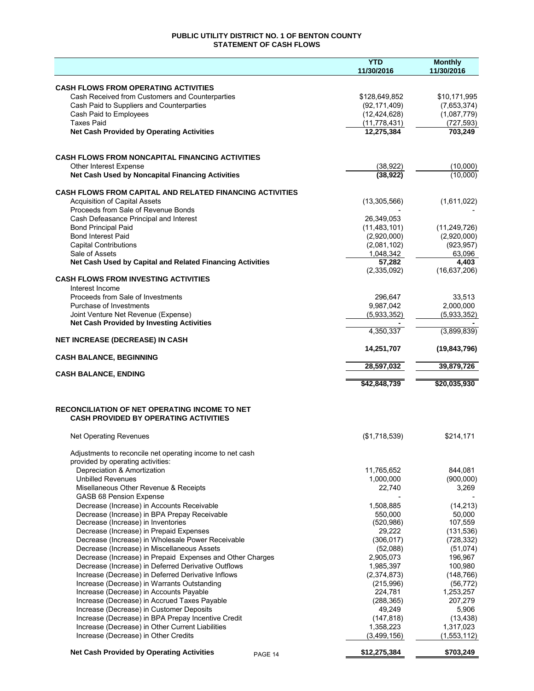## **PUBLIC UTILITY DISTRICT NO. 1 OF BENTON COUNTY STATEMENT OF CASH FLOWS**

|                                                                                                  | <b>YTD</b>             | <b>Monthly</b>          |
|--------------------------------------------------------------------------------------------------|------------------------|-------------------------|
|                                                                                                  | 11/30/2016             | 11/30/2016              |
| <b>CASH FLOWS FROM OPERATING ACTIVITIES</b>                                                      |                        |                         |
| Cash Received from Customers and Counterparties                                                  | \$128,649,852          | \$10,171,995            |
| Cash Paid to Suppliers and Counterparties                                                        | (92, 171, 409)         | (7,653,374)             |
| Cash Paid to Employees                                                                           | (12, 424, 628)         | (1,087,779)             |
| <b>Taxes Paid</b>                                                                                | (11, 778, 431)         | (727, 593)              |
| <b>Net Cash Provided by Operating Activities</b>                                                 | 12,275,384             | 703,249                 |
|                                                                                                  |                        |                         |
| <b>CASH FLOWS FROM NONCAPITAL FINANCING ACTIVITIES</b>                                           |                        |                         |
| <b>Other Interest Expense</b>                                                                    | (38, 922)              | (10,000)                |
| Net Cash Used by Noncapital Financing Activities                                                 | (38, 922)              | (10,000)                |
| <b>CASH FLOWS FROM CAPITAL AND RELATED FINANCING ACTIVITIES</b>                                  |                        |                         |
| <b>Acquisition of Capital Assets</b>                                                             | (13,305,566)           | (1,611,022)             |
| Proceeds from Sale of Revenue Bonds                                                              |                        |                         |
| Cash Defeasance Principal and Interest                                                           | 26,349,053             |                         |
| <b>Bond Principal Paid</b>                                                                       | (11, 483, 101)         | (11, 249, 726)          |
| <b>Bond Interest Paid</b>                                                                        | (2,920,000)            | (2,920,000)             |
| <b>Capital Contributions</b>                                                                     | (2,081,102)            | (923, 957)              |
| Sale of Assets                                                                                   | 1.048.342              | 63.096                  |
| Net Cash Used by Capital and Related Financing Activities                                        | 57,282                 | 4,403                   |
| <b>CASH FLOWS FROM INVESTING ACTIVITIES</b>                                                      | (2,335,092)            | (16,637,206)            |
| Interest Income                                                                                  |                        |                         |
| Proceeds from Sale of Investments                                                                | 296,647                | 33,513                  |
| Purchase of Investments                                                                          | 9,987,042              | 2.000.000               |
| Joint Venture Net Revenue (Expense)                                                              | (5,933,352)            | (5,933,352)             |
| <b>Net Cash Provided by Investing Activities</b>                                                 |                        |                         |
|                                                                                                  | 4,350,337              | (3,899,839)             |
| <b>NET INCREASE (DECREASE) IN CASH</b>                                                           | 14,251,707             |                         |
| <b>CASH BALANCE, BEGINNING</b>                                                                   |                        | (19, 843, 796)          |
|                                                                                                  | 28,597,032             | 39,879,726              |
| <b>CASH BALANCE, ENDING</b>                                                                      |                        |                         |
|                                                                                                  | \$42,848,739           | \$20,035,930            |
| RECONCILIATION OF NET OPERATING INCOME TO NET                                                    |                        |                         |
| <b>CASH PROVIDED BY OPERATING ACTIVITIES</b>                                                     |                        |                         |
| Net Operating Revenues                                                                           | (\$1,718,539)          | \$214,171               |
| Adjustments to reconcile net operating income to net cash                                        |                        |                         |
| provided by operating activities:                                                                |                        |                         |
| Depreciation & Amortization                                                                      | 11,765,652             | 844,081                 |
| <b>Unbilled Revenues</b>                                                                         | 1,000,000              | (900,000)               |
| Misellaneous Other Revenue & Receipts                                                            | 22,740                 | 3,269                   |
| <b>GASB 68 Pension Expense</b>                                                                   |                        |                         |
| Decrease (Increase) in Accounts Receivable                                                       | 1,508,885              | (14, 213)               |
| Decrease (Increase) in BPA Prepay Receivable                                                     | 550,000                | 50,000                  |
| Decrease (Increase) in Inventories                                                               | (520, 986)             | 107,559                 |
| Decrease (Increase) in Prepaid Expenses                                                          | 29,222                 | (131, 536)              |
| Decrease (Increase) in Wholesale Power Receivable<br>Decrease (Increase) in Miscellaneous Assets | (306, 017)<br>(52,088) | (728, 332)<br>(51, 074) |
| Decrease (Increase) in Prepaid Expenses and Other Charges                                        | 2,905,073              | 196,967                 |
| Decrease (Increase) in Deferred Derivative Outflows                                              | 1,985,397              | 100,980                 |
| Increase (Decrease) in Deferred Derivative Inflows                                               | (2,374,873)            | (148, 766)              |
| Increase (Decrease) in Warrants Outstanding                                                      | (215,996)              | (56, 772)               |
| Increase (Decrease) in Accounts Payable                                                          | 224,781                | 1,253,257               |
| Increase (Decrease) in Accrued Taxes Payable                                                     | (288, 365)             | 207,279                 |
| Increase (Decrease) in Customer Deposits                                                         | 49,249                 | 5,906                   |
| Increase (Decrease) in BPA Prepay Incentive Credit                                               | (147, 818)             | (13, 438)               |
| Increase (Decrease) in Other Current Liabilities                                                 | 1,358,223              | 1,317,023               |
| Increase (Decrease) in Other Credits                                                             | (3,499,156)            | (1,553,112)             |
| <b>Net Cash Provided by Operating Activities</b><br>PAGE 14                                      | \$12,275,384           | \$703,249               |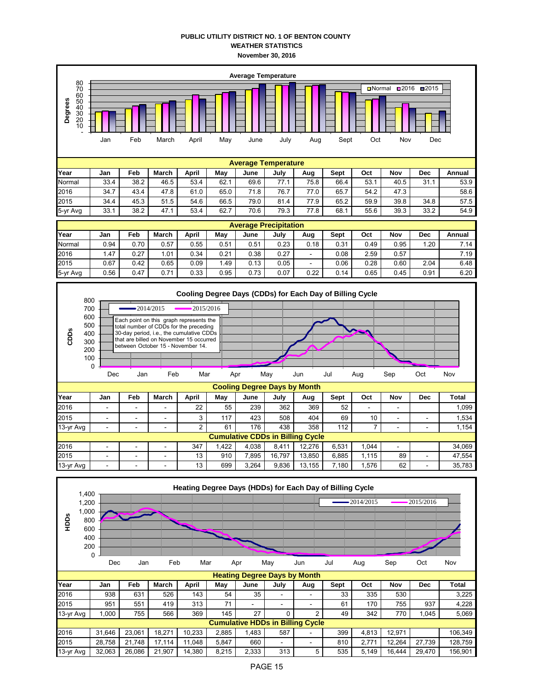## **PUBLIC UTILITY DISTRICT NO. 1 OF BENTON COUNTY WEATHER STATISTICS November 30, 2016**

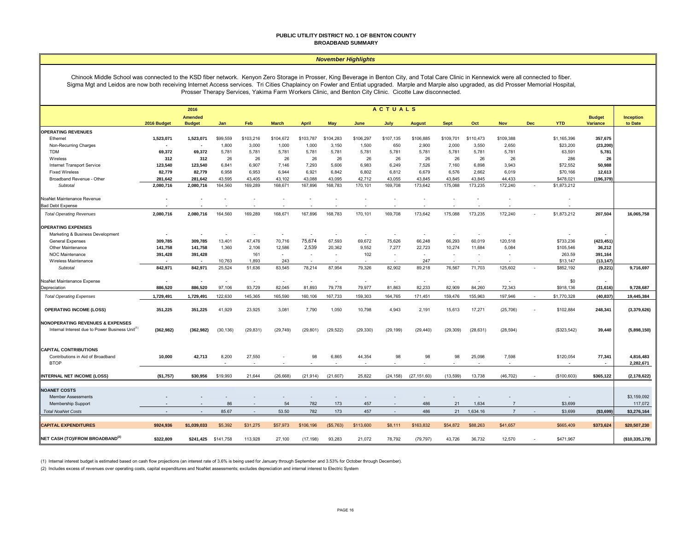#### **PUBLIC UTILITY DISTRICT NO. 1 OF BENTON COUNTY BROADBAND SUMMARY**

#### *November Highlights*

Chinook Middle School was connected to the KSD fiber network. Kenyon Zero Storage in Prosser, King Beverage in Benton City, and Total Care Clinic in Kennewick were all connected to fiber. Sigma Mgt and Leidos are now both receiving Internet Access services. Tri Cities Chaplaincy on Fowler and Entiat upgraded. Marple and Marple also upgraded, as did Prosser Memorial Hospital, Prosser Therapy Services, Yakima Farm Workers Clinic, and Benton City Clinic. Cicotte Law disconnected.

|                                                             |                | <b>ACTUALS</b><br>2016          |           |           |              |              |            |           |           |                          |             |           |                          |            |             |                                  |                             |
|-------------------------------------------------------------|----------------|---------------------------------|-----------|-----------|--------------|--------------|------------|-----------|-----------|--------------------------|-------------|-----------|--------------------------|------------|-------------|----------------------------------|-----------------------------|
|                                                             | 2016 Budget    | <b>Amended</b><br><b>Budget</b> | Jan       | Feb       | <b>March</b> | <b>April</b> | May        | June      | July      | <b>August</b>            | <b>Sept</b> | Oct       | <b>Nov</b>               | <b>Dec</b> | <b>YTD</b>  | <b>Budget</b><br><b>Variance</b> | <b>Inception</b><br>to Date |
| <b>OPERATING REVENUES</b>                                   |                |                                 |           |           |              |              |            |           |           |                          |             |           |                          |            |             |                                  |                             |
| Ethernet                                                    | 1,523,071      | 1,523,071                       | \$99,559  | \$103,216 | \$104,672    | \$103,787    | \$104,283  | \$106,297 | \$107,135 | \$106,885                | \$109,701   | \$110,473 | \$109,388                |            | \$1,165,396 | 357,675                          |                             |
| Non-Recurring Charges                                       | $\blacksquare$ |                                 | 1,800     | 3,000     | 1,000        | 1,000        | 3,150      | 1,500     | 650       | 2,900                    | 2,000       | 3,550     | 2,650                    |            | \$23,200    | (23, 200)                        |                             |
| <b>TDM</b>                                                  | 69,372         | 69,372                          | 5,781     | 5,781     | 5,781        | 5,781        | 5,781      | 5,781     | 5,781     | 5,781                    | 5,781       | 5,781     | 5,781                    |            | 63,591      | 5,781                            |                             |
| Wireless                                                    | 312            | 312                             | 26        | 26        | 26           | 26           | 26         | 26        | 26        | 26                       | 26          | 26        | 26                       |            | 286         | 26                               |                             |
| Internet Transport Service                                  | 123,540        | 123,540                         | 6,841     | 6,907     | 7,146        | 7,293        | 5,606      | 6,983     | 6,249     | 7,526                    | 7,160       | 6,898     | 3,943                    |            | \$72,552    | 50,988                           |                             |
| <b>Fixed Wireless</b>                                       | 82,779         | 82,779                          | 6,958     | 6,953     | 6,944        | 6,921        | 6,842      | 6,802     | 6,812     | 6,679                    | 6,576       | 2,662     | 6,019                    |            | \$70,166    | 12,613                           |                             |
| Broadband Revenue - Other                                   | 281,642        | 281.642                         | 43.595    | 43.405    | 43.102       | 43.088       | 43.095     | 42.712    | 43.055    | 43.845                   | 43,845      | 43.845    | 44.433                   |            | \$478,021   | (196, 379)                       |                             |
| Subtotal                                                    | 2,080,716      | 2,080,716                       | 164,560   | 169,289   | 168,671      | 167,896      | 168,783    | 170,101   | 169,708   | 173,642                  | 175,088     | 173,235   | 172,240                  |            | \$1,873,212 |                                  |                             |
| NoaNet Maintenance Revenue                                  |                |                                 |           |           |              |              |            |           |           |                          |             |           |                          |            |             |                                  |                             |
| <b>Bad Debt Expense</b>                                     |                |                                 |           |           |              |              |            |           |           |                          |             |           |                          |            |             |                                  |                             |
| <b>Total Operating Revenues</b>                             | 2,080,716      | 2,080,716                       | 164,560   | 169,289   | 168,671      | 167,896      | 168,783    | 170,101   | 169,708   | 173,642                  | 175,088     | 173,235   | 172,240                  |            | \$1,873,212 | 207,504                          | 16,065,758                  |
| <b>OPERATING EXPENSES</b>                                   |                |                                 |           |           |              |              |            |           |           |                          |             |           |                          |            |             |                                  |                             |
| Marketing & Business Development                            | $\blacksquare$ |                                 |           | $\sim$    |              |              | $\sim$     |           |           | $\overline{\phantom{a}}$ | $\sim$      |           |                          |            |             |                                  |                             |
| General Expenses                                            | 309,785        | 309,785                         | 13,401    | 47,476    | 70,716       | 75,674       | 67,593     | 69,672    | 75,626    | 66,248                   | 66,293      | 60,019    | 120,518                  |            | \$733,236   | (423, 451)                       |                             |
| Other Maintenance                                           | 141,758        | 141,758                         | 1,360     | 2,106     | 12,586       | 2,539        | 20,362     | 9,552     | 7,277     | 22,723                   | 10,274      | 11,684    | 5,084                    |            | \$105,546   | 36,212                           |                             |
| NOC Maintenance                                             | 391,428        | 391,428                         |           | 161       | $\sim$       | $\sim$       | $\sim$     | 102       | $\sim$    | $\sim$                   | $\sim$      |           | $\overline{\phantom{a}}$ |            | 263.59      | 391,164                          |                             |
| Wireless Maintenance                                        |                |                                 | 10,763    | 1,893     | 243          |              |            |           |           | 247                      |             |           |                          |            | \$13,147    | (13, 147)                        |                             |
| Subtotal                                                    | 842,971        | 842,971                         | 25,524    | 51,636    | 83,545       | 78,214       | 87,954     | 79,326    | 82,902    | 89,218                   | 76,567      | 71,703    | 125,602                  |            | \$852,192   | (9, 221)                         | 9,716,697                   |
| NoaNet Maintenance Expense                                  | $\blacksquare$ |                                 |           |           |              |              |            |           |           | ÷                        |             |           |                          |            | \$0         |                                  |                             |
| Depreciation                                                | 886,520        | 886,520                         | 97,106    | 93,729    | 82,045       | 81,893       | 79,778     | 79,977    | 81,863    | 82,233                   | 82,909      | 84,260    | 72,343                   |            | \$918,136   | (31, 616)                        | 9,728,687                   |
| <b>Total Operating Expenses</b>                             | 1,729,491      | 1,729,491                       | 122,630   | 145,365   | 165,590      | 160,106      | 167,733    | 159,303   | 164,765   | 171,451                  | 159,476     | 155,963   | 197,946                  |            | \$1,770,328 | (40, 837)                        | 19,445,384                  |
| <b>OPERATING INCOME (LOSS)</b>                              | 351,225        | 351,225                         | 41,929    | 23,925    | 3,081        | 7,790        | 1,050      | 10,798    | 4,943     | 2,191                    | 15,613      | 17,271    | (25, 706)                |            | \$102,884   | 248,341                          | (3,379,626)                 |
| <b>NONOPERATING REVENUES &amp; EXPENSES</b>                 |                |                                 |           |           |              |              |            |           |           |                          |             |           |                          |            |             |                                  |                             |
| Internal Interest due to Power Business Unit <sup>(1)</sup> | (362, 982)     | (362, 982)                      | (30, 136) | (29, 831) | (29, 749)    | (29, 801)    | (29, 522)  | (29, 330) | (29, 199) | (29, 440)                | (29, 309)   | (28, 631) | (28, 594)                |            | (\$323,542) | 39,440                           | (5,898,150)                 |
| <b>CAPITAL CONTRIBUTIONS</b>                                |                |                                 |           |           |              |              |            |           |           |                          |             |           |                          |            |             |                                  |                             |
| Contributions in Aid of Broadband                           | 10,000         | 42,713                          | 8,200     | 27,550    |              | 98           | 6,865      | 44,354    | 98        | 98                       | 98          | 25,098    | 7,598                    |            | \$120,054   | 77,341                           | 4,816,483                   |
| <b>BTOP</b>                                                 |                |                                 |           |           |              |              |            |           |           |                          |             |           |                          |            |             |                                  | 2,282,671                   |
| <b>INTERNAL NET INCOME (LOSS)</b>                           | (\$1,757)      | \$30,956                        | \$19,993  | 21.644    | (26, 668)    | (21.914)     | (21, 607)  | 25,822    | (24, 158) | (27, 151.60)             | (13, 599)   | 13.738    | (46, 702)                |            | (\$100,603) | \$365,122                        | (2, 178, 622)               |
|                                                             |                |                                 |           |           |              |              |            |           |           |                          |             |           |                          |            |             |                                  |                             |
| <b>NOANET COSTS</b>                                         |                |                                 |           |           |              |              |            |           |           |                          |             |           |                          |            |             |                                  |                             |
| <b>Member Assessments</b>                                   |                |                                 |           |           |              |              |            |           |           |                          |             |           |                          |            | $\sim$      |                                  | \$3,159,092                 |
| Membership Support                                          |                |                                 | 86        | $\sim$    | 54           | 782          | 173        | 457       |           | 486                      | 21          | 1,634     | -7                       |            | \$3,699     |                                  | 117,072                     |
| <b>Total NoaNet Costs</b>                                   |                |                                 | 85.67     | $\sim$    | 53.50        | 782          | 173        | 457       |           | 486                      | 21          | 1,634.16  | $\overline{7}$           |            | \$3,699     | ( \$3,699]                       | \$3,276,164                 |
| <b>CAPITAL EXPENDITURES</b>                                 | \$924,936      | \$1,039,033                     | \$5,392   | \$31,275  | \$57,973     | \$106,196    | ( \$5,763) | \$113,600 | \$8,111   | \$163,832                | \$54,872    | \$88,263  | \$41,657                 |            | \$665,409   | \$373,624                        | \$20,507,230                |
| NET CASH (TO)/FROM BROADBAND <sup>(2)</sup>                 | \$322,809      | \$241,425                       | \$141,758 | 113,928   | 27,100       | (17, 198)    | 93,283     | 21,072    | 78,792    | (79, 797)                | 43,726      | 36,732    | 12,570                   |            | \$471,967   |                                  | (\$10,335,179)              |

(1) Internal interest budget is estimated based on cash flow projections (an interest rate of 3.6% is being used for January through September and 3.53% for October through December).

(2) Includes excess of revenues over operating costs, capital expenditures and NoaNet assessments; excludes depreciation and internal interest to Electric System